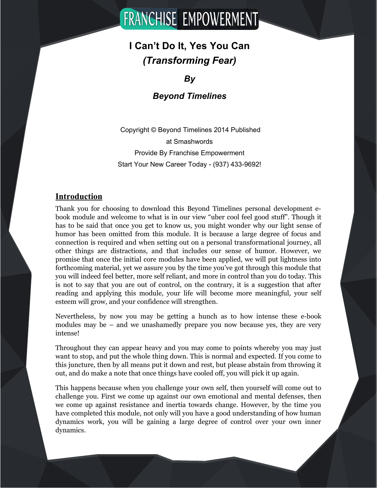# **FRANCHISE EMPOWERMENT**

# **I Can't Do It, Yes You Can** *(Transforming Fear)*

# *By*

# *Beyond Timelines*

 Copyright © Beyond Timelines 2014 Published at Smashwords Provide By Franchise Empowerment Start Your New Career Today - (937) 433-9692!

# **Introduction**

Thank you for choosing to download this Beyond Timelines personal development ebook module and welcome to what is in our view "uber cool feel good stuff". Though it has to be said that once you get to know us, you might wonder why our light sense of humor has been omitted from this module. It is because a large degree of focus and connection is required and when setting out on a personal transformational journey, all other things are distractions, and that includes our sense of humor. However, we promise that once the initial core modules have been applied, we will put lightness into forthcoming material, yet we assure you by the time you've got through this module that you will indeed feel better, more self reliant, and more in control than you do today. This is not to say that you are out of control, on the contrary, it is a suggestion that after reading and applying this module, your life will become more meaningful, your self esteem will grow, and your confidence will strengthen.

Nevertheless, by now you may be getting a hunch as to how intense these e-book modules may be – and we unashamedly prepare you now because yes, they are very intense!

Throughout they can appear heavy and you may come to points whereby you may just want to stop, and put the whole thing down. This is normal and expected. If you come to this juncture, then by all means put it down and rest, but please abstain from throwing it out, and do make a note that once things have cooled off, you will pick it up again.

This happens because when you challenge your own self, then yourself will come out to challenge you. First we come up against our own emotional and mental defenses, then we come up against resistance and inertia towards change. However, by the time you have completed this module, not only will you have a good understanding of how human dynamics work, you will be gaining a large degree of control over your own inner dynamics.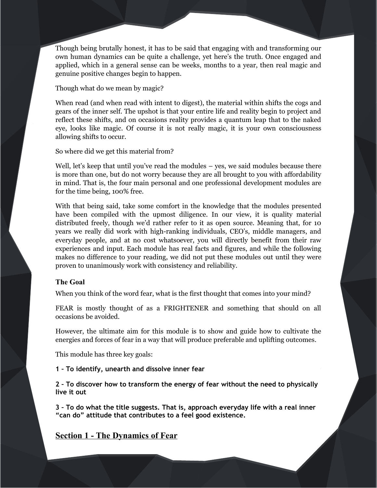Though being brutally honest, it has to be said that engaging with and transforming our own human dynamics can be quite a challenge, yet here's the truth. Once engaged and applied, which in a general sense can be weeks, months to a year, then real magic and genuine positive changes begin to happen.

Though what do we mean by magic?

When read (and when read with intent to digest), the material within shifts the cogs and gears of the inner self. The upshot is that your entire life and reality begin to project and reflect these shifts, and on occasions reality provides a quantum leap that to the naked eye, looks like magic. Of course it is not really magic, it is your own consciousness allowing shifts to occur.

So where did we get this material from?

Well, let's keep that until you've read the modules – yes, we said modules because there is more than one, but do not worry because they are all brought to you with affordability in mind. That is, the four main personal and one professional development modules are for the time being, 100% free.

With that being said, take some comfort in the knowledge that the modules presented have been compiled with the upmost diligence. In our view, it is quality material distributed freely, though we'd rather refer to it as open source. Meaning that, for 10 years we really did work with high-ranking individuals, CEO's, middle managers, and everyday people, and at no cost whatsoever, you will directly benefit from their raw experiences and input. Each module has real facts and figures, and while the following makes no difference to your reading, we did not put these modules out until they were proven to unanimously work with consistency and reliability.

# **The Goal**

When you think of the word fear, what is the first thought that comes into your mind?

FEAR is mostly thought of as a FRIGHTENER and something that should on all occasions be avoided.

However, the ultimate aim for this module is to show and guide how to cultivate the energies and forces of fear in a way that will produce preferable and uplifting outcomes.

This module has three key goals:

**1 – To identify, unearth and dissolve inner fear**

**2 – To discover how to transform the energy of fear without the need to physically live it out**

**3 – To do what the title suggests. That is, approach everyday life with a real inner "can do" attitude that contributes to a feel good existence.** 

# **Section 1 - The Dynamics of Fear**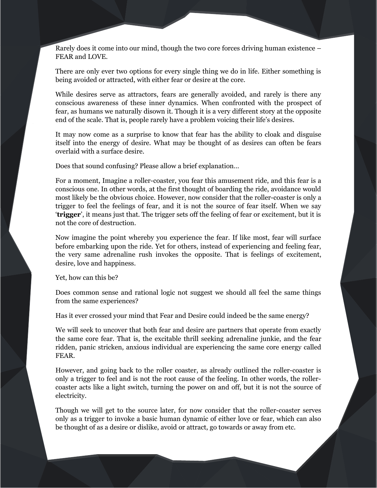Rarely does it come into our mind, though the two core forces driving human existence – FEAR and LOVE.

There are only ever two options for every single thing we do in life. Either something is being avoided or attracted, with either fear or desire at the core.

While desires serve as attractors, fears are generally avoided, and rarely is there any conscious awareness of these inner dynamics. When confronted with the prospect of fear, as humans we naturally disown it. Though it is a very different story at the opposite end of the scale. That is, people rarely have a problem voicing their life's desires.

It may now come as a surprise to know that fear has the ability to cloak and disguise itself into the energy of desire. What may be thought of as desires can often be fears overlaid with a surface desire.

Does that sound confusing? Please allow a brief explanation…

For a moment, Imagine a roller-coaster, you fear this amusement ride, and this fear is a conscious one. In other words, at the first thought of boarding the ride, avoidance would most likely be the obvious choice. However, now consider that the roller-coaster is only a trigger to feel the feelings of fear, and it is not the source of fear itself. When we say '**trigger**', it means just that. The trigger sets off the feeling of fear or excitement, but it is not the core of destruction.

Now imagine the point whereby you experience the fear. If like most, fear will surface before embarking upon the ride. Yet for others, instead of experiencing and feeling fear, the very same adrenaline rush invokes the opposite. That is feelings of excitement, desire, love and happiness.

Yet, how can this be?

Does common sense and rational logic not suggest we should all feel the same things from the same experiences?

Has it ever crossed your mind that Fear and Desire could indeed be the same energy?

We will seek to uncover that both fear and desire are partners that operate from exactly the same core fear. That is, the excitable thrill seeking adrenaline junkie, and the fear ridden, panic stricken, anxious individual are experiencing the same core energy called FEAR.

However, and going back to the roller coaster, as already outlined the roller-coaster is only a trigger to feel and is not the root cause of the feeling. In other words, the rollercoaster acts like a light switch, turning the power on and off, but it is not the source of electricity.

Though we will get to the source later, for now consider that the roller-coaster serves only as a trigger to invoke a basic human dynamic of either love or fear, which can also be thought of as a desire or dislike, avoid or attract, go towards or away from etc.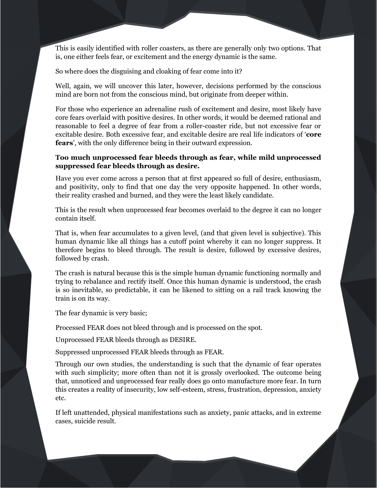This is easily identified with roller coasters, as there are generally only two options. That is, one either feels fear, or excitement and the energy dynamic is the same.

So where does the disguising and cloaking of fear come into it?

Well, again, we will uncover this later, however, decisions performed by the conscious mind are born not from the conscious mind, but originate from deeper within.

For those who experience an adrenaline rush of excitement and desire, most likely have core fears overlaid with positive desires. In other words, it would be deemed rational and reasonable to feel a degree of fear from a roller-coaster ride, but not excessive fear or excitable desire. Both excessive fear, and excitable desire are real life indicators of '**core fears**', with the only difference being in their outward expression.

# **Too much unprocessed fear bleeds through as fear, while mild unprocessed suppressed fear bleeds through as desire.**

Have you ever come across a person that at first appeared so full of desire, enthusiasm, and positivity, only to find that one day the very opposite happened. In other words, their reality crashed and burned, and they were the least likely candidate.

This is the result when unprocessed fear becomes overlaid to the degree it can no longer contain itself.

That is, when fear accumulates to a given level, (and that given level is subjective). This human dynamic like all things has a cutoff point whereby it can no longer suppress. It therefore begins to bleed through. The result is desire, followed by excessive desires, followed by crash.

The crash is natural because this is the simple human dynamic functioning normally and trying to rebalance and rectify itself. Once this human dynamic is understood, the crash is so inevitable, so predictable, it can be likened to sitting on a rail track knowing the train is on its way.

The fear dynamic is very basic;

Processed FEAR does not bleed through and is processed on the spot.

Unprocessed FEAR bleeds through as DESIRE.

Suppressed unprocessed FEAR bleeds through as FEAR.

Through our own studies, the understanding is such that the dynamic of fear operates with such simplicity; more often than not it is grossly overlooked. The outcome being that, unnoticed and unprocessed fear really does go onto manufacture more fear. In turn this creates a reality of insecurity, low self-esteem, stress, frustration, depression, anxiety etc.

If left unattended, physical manifestations such as anxiety, panic attacks, and in extreme cases, suicide result.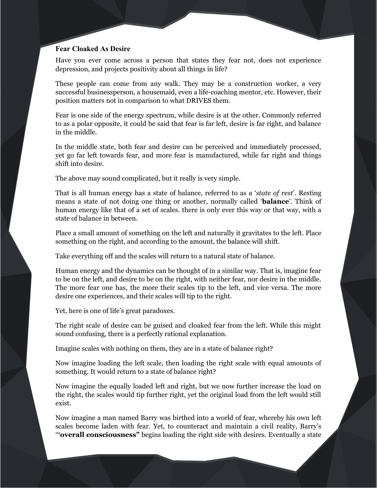# **Fear Cloaked As Desire**

Have you ever come across a person that states they fear not, does not experience depression, and projects positivity about all things in life?

These people can come from any walk. They may be a construction worker, a very successful businessperson, a housemaid, even a life-coaching mentor, etc. However, their position matters not in comparison to what DRIVES them.

Fear is one side of the energy spectrum, while desire is at the other. Commonly referred to as a polar opposite, it could be said that fear is far left, desire is far right, and balance in the middle.

In the middle state, both fear and desire can be perceived and immediately processed, yet go far left towards fear, and more fear is manufactured, while far right and things shift into desire.

The above may sound complicated, but it really is very simple.

That is all human energy has a state of balance, referred to as a '*state of rest*'. Resting means a state of not doing one thing or another, normally called '**balance**'. Think of human energy like that of a set of scales. there is only ever this way or that way, with a state of balance in between.

Place a small amount of something on the left and naturally it gravitates to the left. Place something on the right, and according to the amount, the balance will shift.

Take everything off and the scales will return to a natural state of balance.

Human energy and the dynamics can be thought of in a similar way. That is, imagine fear to be on the left, and desire to be on the right, with neither fear, nor desire in the middle. The more fear one has, the more their scales tip to the left, and vice versa. The more desire one experiences, and their scales will tip to the right.

Yet, here is one of life's great paradoxes.

The right scale of desire can be guised and cloaked fear from the left. While this might sound confusing, there is a perfectly rational explanation.

Imagine scales with nothing on them, they are in a state of balance right?

Now imagine loading the left scale, then loading the right scale with equal amounts of something. It would return to a state of balance right?

Now imagine the equally loaded left and right, but we now further increase the load on the right, the scales would tip further right, yet the original load from the left would still exist.

Now imagine a man named Barry was birthed into a world of fear, whereby his own left scales become laden with fear. Yet, to counteract and maintain a civil reality, Barry's " **[1](#page-63-0)overall consciousness"** begins loading the right side with desires. Eventually a state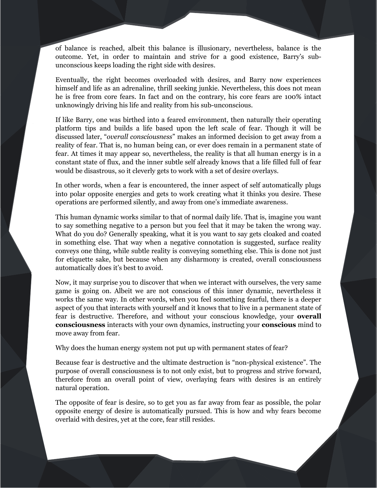of balance is reached, albeit this balance is illusionary, nevertheless, balance is the outcome. Yet, in order to maintain and strive for a good existence, Barry's subunconscious keeps loading the right side with desires.

Eventually, the right becomes overloaded with desires, and Barry now experiences himself and life as an adrenaline, thrill seeking junkie. Nevertheless, this does not mean he is free from core fears. In fact and on the contrary, his core fears are 100% intact unknowingly driving his life and reality from his sub-unconscious.

If like Barry, one was birthed into a feared environment, then naturally their operating platform tips and builds a life based upon the left scale of fear. Though it will be discussed later, "*overall consciousness*" makes an informed decision to get away from a reality of fear. That is, no human being can, or ever does remain in a permanent state of fear. At times it may appear so, nevertheless, the reality is that all human energy is in a constant state of flux, and the inner subtle self already knows that a life filled full of fear would be disastrous, so it cleverly gets to work with a set of desire overlays.

In other words, when a fear is encountered, the inner aspect of self automatically plugs into polar opposite energies and gets to work creating what it thinks you desire. These operations are performed silently, and away from one's immediate awareness.

This human dynamic works similar to that of normal daily life. That is, imagine you want to say something negative to a person but you feel that it may be taken the wrong way. What do you do? Generally speaking, what it is you want to say gets cloaked and coated in something else. That way when a negative connotation is suggested, surface reality conveys one thing, while subtle reality is conveying something else. This is done not just for etiquette sake, but because when any disharmony is created, overall consciousness automatically does it's best to avoid.

Now, it may surprise you to discover that when we interact with ourselves, the very same game is going on. Albeit we are not conscious of this inner dynamic, nevertheless it works the same way. In other words, when you feel something fearful, there is a deeper aspect of you that interacts with yourself and it knows that to live in a permanent state of fear is destructive. Therefore, and without your conscious knowledge, your **overall consciousness** interacts with your own dynamics, instructing your **conscious** mind to move away from fear.

Why does the human energy system not put up with permanent states of fear?

Because fear is destructive and the ultimate destruction is "non-physical existence". The purpose of overall consciousness is to not only exist, but to progress and strive forward, therefore from an overall point of view, overlaying fears with desires is an entirely natural operation.

The opposite of fear is desire, so to get you as far away from fear as possible, the polar opposite energy of desire is automatically pursued. This is how and why fears become overlaid with desires, yet at the core, fear still resides.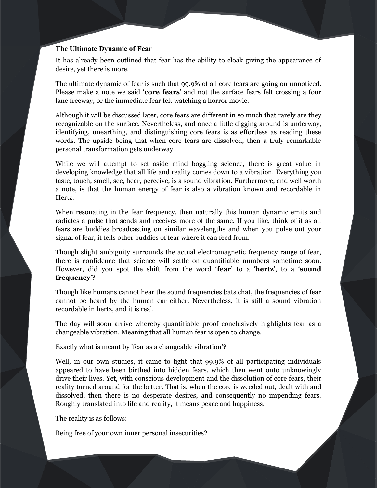# **The Ultimate Dynamic of Fear**

It has already been outlined that fear has the ability to cloak giving the appearance of desire, yet there is more.

The ultimate dynamic of fear is such that 99.9% of all core fears are going on unnoticed. Please make a note we said '**core fears**' and not the surface fears felt crossing a four lane freeway, or the immediate fear felt watching a horror movie.

Although it will be discussed later, core fears are different in so much that rarely are they recognizable on the surface. Nevertheless, and once a little digging around is underway, identifying, unearthing, and distinguishing core fears is as effortless as reading these words. The upside being that when core fears are dissolved, then a truly remarkable personal transformation gets underway.

While we will attempt to set aside mind boggling science, there is great value in developing knowledge that all life and reality comes down to a vibration. Everything you taste, touch, smell, see, hear, perceive, is a sound vibration. Furthermore, and well worth a note, is that the human energy of fear is also a vibration known and recordable in Hertz.

When resonating in the fear frequency, then naturally this human dynamic emits and radiates a pulse that sends and receives more of the same. If you like, think of it as all fears are buddies broadcasting on similar wavelengths and when you pulse out your signal of fear, it tells other buddies of fear where it can feed from.

Though slight ambiguity surrounds the actual electromagnetic frequency range of fear, there is confidence that science will settle on quantifiable numbers sometime soon. However, did you spot the shift from the word '**fear**' to a '**hertz**', to a '**sound frequency**'?

Though like humans cannot hear the sound frequencies bats chat, the frequencies of fear cannot be heard by the human ear either. Nevertheless, it is still a sound vibration recordable in hertz, and it is real.

The day will soon arrive whereby quantifiable proof conclusively highlights fear as a changeable vibration. Meaning that all human fear is open to change.

Exactly what is meant by 'fear as a changeable vibration'?

Well, in our own studies, it came to light that 99.9% of all participating individuals appeared to have been birthed into hidden fears, which then went onto unknowingly drive their lives. Yet, with conscious development and the dissolution of core fears, their reality turned around for the better. That is, when the core is weeded out, dealt with and dissolved, then there is no desperate desires, and consequently no impending fears. Roughly translated into life and reality, it means peace and happiness.

The reality is as follows:

Being free of your own inner personal insecurities?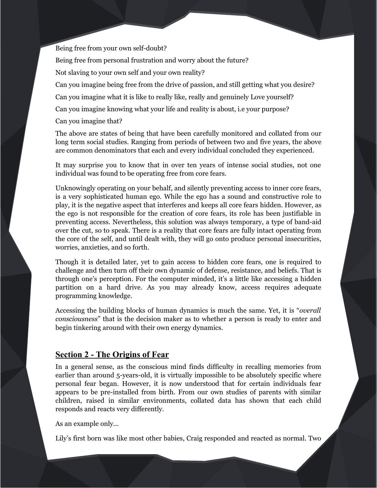# Being free from your own self-doubt?

Being free from personal frustration and worry about the future?

Not slaving to your own self and your own reality?

Can you imagine being free from the drive of passion, and still getting what you desire?

Can you imagine what it is like to really like, really and genuinely Love yourself?

Can you imagine knowing what your life and reality is about, i.e your purpose?

Can you imagine that?

The above are states of being that have been carefully monitored and collated from our long term social studies. Ranging from periods of between two and five years, the above are common denominators that each and every individual concluded they experienced.

It may surprise you to know that in over ten years of intense social studies, not one individual was found to be operating free from core fears.

Unknowingly operating on your behalf, and silently preventing access to inner core fears, is a very sophisticated human ego. While the ego has a sound and constructive role to play, it is the negative aspect that interferes and keeps all core fears hidden. However, as the ego is not responsible for the creation of core fears, its role has been justifiable in preventing access. Nevertheless, this solution was always temporary, a type of band-aid over the cut, so to speak. There is a reality that core fears are fully intact operating from the core of the self, and until dealt with, they will go onto produce personal insecurities, worries, anxieties, and so forth.

Though it is detailed later, yet to gain access to hidden core fears, one is required to challenge and then turn off their own dynamic of defense, resistance, and beliefs. That is through one's perception. For the computer minded, it's a little like accessing a hidden partition on a hard drive. As you may already know, access requires adequate programming knowledge.

Accessing the building blocks of human dynamics is much the same. Yet, it is "*overall consciousness*" that is the decision maker as to whether a person is ready to enter and begin tinkering around with their own energy dynamics.

# **Section 2 - The Origins of Fear**

In a general sense, as the conscious mind finds difficulty in recalling memories from earlier than around 5-years-old, it is virtually impossible to be absolutely specific where personal fear began. However, it is now understood that for certain individuals fear appears to be pre-installed from birth. From our own studies of parents with similar children, raised in similar environments, collated data has shown that each child responds and reacts very differently.

As an example only...

Lily's first born was like most other babies, Craig responded and reacted as normal. Two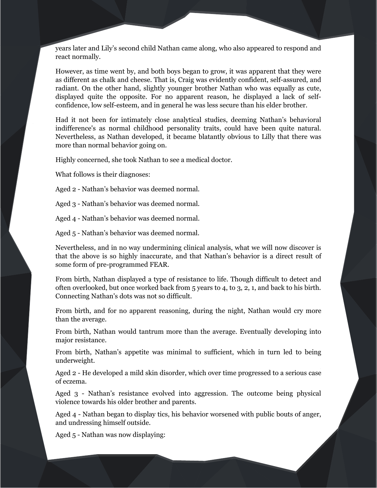years later and Lily's second child Nathan came along, who also appeared to respond and react normally.

However, as time went by, and both boys began to grow, it was apparent that they were as different as chalk and cheese. That is, Craig was evidently confident, self-assured, and radiant. On the other hand, slightly younger brother Nathan who was equally as cute, displayed quite the opposite. For no apparent reason, he displayed a lack of selfconfidence, low self-esteem, and in general he was less secure than his elder brother.

Had it not been for intimately close analytical studies, deeming Nathan's behavioral indifference's as normal childhood personality traits, could have been quite natural. Nevertheless, as Nathan developed, it became blatantly obvious to Lilly that there was more than normal behavior going on.

Highly concerned, she took Nathan to see a medical doctor.

What follows is their diagnoses:

Aged 2 - Nathan's behavior was deemed normal.

Aged 3 - Nathan's behavior was deemed normal.

Aged 4 - Nathan's behavior was deemed normal.

Aged 5 - Nathan's behavior was deemed normal.

Nevertheless, and in no way undermining clinical analysis, what we will now discover is that the above is so highly inaccurate, and that Nathan's behavior is a direct result of some form of pre-programmed FEAR.

From birth, Nathan displayed a type of resistance to life. Though difficult to detect and often overlooked, but once worked back from 5 years to 4, to 3, 2, 1, and back to his birth. Connecting Nathan's dots was not so difficult.

From birth, and for no apparent reasoning, during the night, Nathan would cry more than the average.

From birth, Nathan would tantrum more than the average. Eventually developing into major resistance.

From birth, Nathan's appetite was minimal to sufficient, which in turn led to being underweight.

Aged 2 - He developed a mild skin disorder, which over time progressed to a serious case of eczema.

Aged 3 - Nathan's resistance evolved into aggression. The outcome being physical violence towards his older brother and parents.

Aged 4 - Nathan began to display tics, his behavior worsened with public bouts of anger, and undressing himself outside.

Aged 5 - Nathan was now displaying: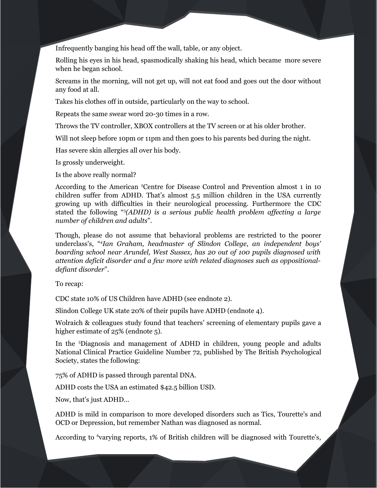Infrequently banging his head off the wall, table, or any object.

Rolling his eyes in his head, spasmodically shaking his head, which became more severe when he began school.

Screams in the morning, will not get up, will not eat food and goes out the door without any food at all.

Takes his clothes off in outside, particularly on the way to school.

Repeats the same swear word 20-30 times in a row.

Throws the TV controller, XBOX controllers at the TV screen or at his older brother.

Will not sleep before 10pm or 11pm and then goes to his parents bed during the night.

Has severe skin allergies all over his body.

Is grossly underweight.

Is the above really normal?

According to the American<sup>2</sup>Centre for Disease Control and Prevention almost 1 in 10 children suffer from ADHD. That's almost 5.5 million children in the USA currently growing up with difficulties in their neurological processing. Furthermore the CDC stated the following ["](#page-63-2)<sup>3</sup> *(ADHD) is a serious public health problem affecting a large number of children and adults*".

Though, please do not assume that behavioral problems are restricted to the poorer underclass's, ["](#page-63-3)<sup>4</sup> *Ian Graham, headmaster of Slindon College, an independent boys' boarding school near Arundel, West Sussex, has 20 out of 100 pupils diagnosed with attention deficit disorder and a few more with related diagnoses such as oppositionaldefiant disorder*".

To recap:

CDC state 10% of US Children have ADHD (see endnote 2).

Slindon College UK state 20% of their pupils have ADHD (endnote 4).

Wolraich & colleagues study found that teachers' screening of elementary pupils gave a higher estimate of 25% (endnote 5).

In the<sup>5</sup>Diagnosis and management of ADHD in children, young people and adults National Clinical Practice Guideline Number 72, published by The British Psychological Society, states the following:

75% of ADHD is passed through parental DNA.

ADHD costs the USA an estimated \$42.5 billion USD.

Now, that's just ADHD…

ADHD is mild in comparison to more developed disorders such as Tics, Tourette's and OCD or Depression, but remember Nathan was diagnosed as normal.

According to <sup>[6](#page-63-5)</sup>varying reports, 1% of British children will be diagnosed with Tourette's,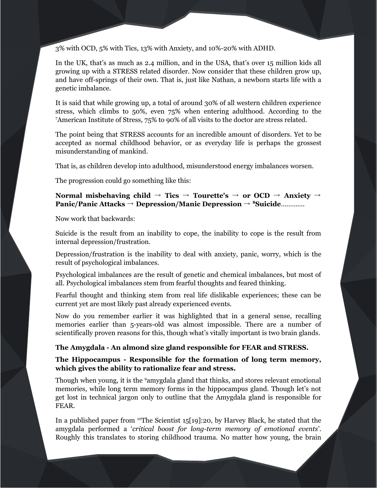3% with OCD, 5% with Tics, 13% with Anxiety, and 10%-20% with ADHD.

In the UK, that's as much as 2.4 million, and in the USA, that's over 15 million kids all growing up with a STRESS related disorder. Now consider that these children grow up, and have off-springs of their own. That is, just like Nathan, a newborn starts life with a genetic imbalance.

It is said that while growing up, a total of around 30% of all western children experience stress, which climbs to 50%, even 75% when entering adulthood. According to the [7](#page-63-6)American Institute of Stress, 75% to 90% of all visits to the doctor are stress related.

The point being that STRESS accounts for an incredible amount of disorders. Yet to be accepted as normal childhood behavior, or as everyday life is perhaps the grossest misunderstanding of mankind.

That is, as children develop into adulthood, misunderstood energy imbalances worsen.

The progression could go something like this:

# **Normal misbehaving child** → **Tics** → **Tourette's** → **or OCD** → **Anxiety** → **Panic/Panic Attacks** → **Depression/Manic Depression** → **[8](#page-63-7)Suicide**………….

Now work that backwards:

Suicide is the result from an inability to cope, the inability to cope is the result from internal depression/frustration.

Depression/frustration is the inability to deal with anxiety, panic, worry, which is the result of psychological imbalances.

Psychological imbalances are the result of genetic and chemical imbalances, but most of all. Psychological imbalances stem from fearful thoughts and feared thinking.

Fearful thought and thinking stem from real life dislikable experiences; these can be current yet are most likely past already experienced events.

Now do you remember earlier it was highlighted that in a general sense, recalling memories earlier than 5-years-old was almost impossible. There are a number of scientifically proven reasons for this, though what's vitally important is two brain glands.

# **The Amygdala - An almond size gland responsible for FEAR and STRESS.**

**The Hippocampus - Responsible for the formation of long term memory, which gives the ability to rationalize fear and stress.** 

Though when young, it is the <sup>[9](#page-63-8)</sup>amygdala gland that thinks, and stores relevant emotional memories, while long term memory forms in the hippocampus gland. Though let's not get lost in technical jargon only to outline that the Amygdala gland is responsible for FEAR.

In a published paper from  $10T$  $10T$ he Scientist 15[19]:20, by Harvey Black, he stated that the amygdala performed a '*critical boost for long-term memory of emotional events*'. Roughly this translates to storing childhood trauma. No matter how young, the brain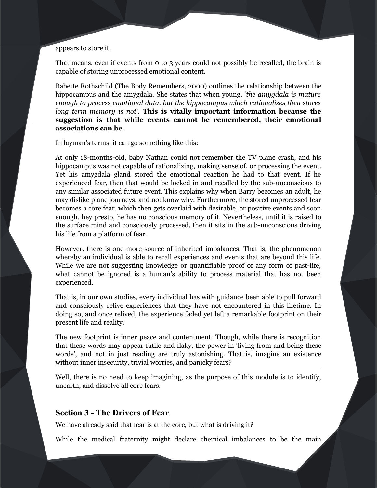### appears to store it.

That means, even if events from 0 to 3 years could not possibly be recalled, the brain is capable of storing unprocessed emotional content.

Babette Rothschild (The Body Remembers, 2000) outlines the relationship between the hippocampus and the amygdala. She states that when young, '*the amygdala is mature enough to process emotional data, but the hippocampus which rationalizes then stores long term memory is not*'. **This is vitally important information because the suggestion is that while events cannot be remembered, their emotional associations can be**.

In layman's terms, it can go something like this:

At only 18-months-old, baby Nathan could not remember the TV plane crash, and his hippocampus was not capable of rationalizing, making sense of, or processing the event. Yet his amygdala gland stored the emotional reaction he had to that event. If he experienced fear, then that would be locked in and recalled by the sub-unconscious to any similar associated future event. This explains why when Barry becomes an adult, he may dislike plane journeys, and not know why. Furthermore, the stored unprocessed fear becomes a core fear, which then gets overlaid with desirable, or positive events and soon enough, hey presto, he has no conscious memory of it. Nevertheless, until it is raised to the surface mind and consciously processed, then it sits in the sub-unconscious driving his life from a platform of fear.

However, there is one more source of inherited imbalances. That is, the phenomenon whereby an individual is able to recall experiences and events that are beyond this life. While we are not suggesting knowledge or quantifiable proof of any form of past-life, what cannot be ignored is a human's ability to process material that has not been experienced.

That is, in our own studies, every individual has with guidance been able to pull forward and consciously relive experiences that they have not encountered in this lifetime. In doing so, and once relived, the experience faded yet left a remarkable footprint on their present life and reality.

The new footprint is inner peace and contentment. Though, while there is recognition that these words may appear futile and flaky, the power in 'living from and being these words', and not in just reading are truly astonishing. That is, imagine an existence without inner insecurity, trivial worries, and panicky fears?

Well, there is no need to keep imagining, as the purpose of this module is to identify, unearth, and dissolve all core fears.

# **Section 3 - The Drivers of Fear**

We have already said that fear is at the core, but what is driving it?

While the medical fraternity might declare chemical imbalances to be the main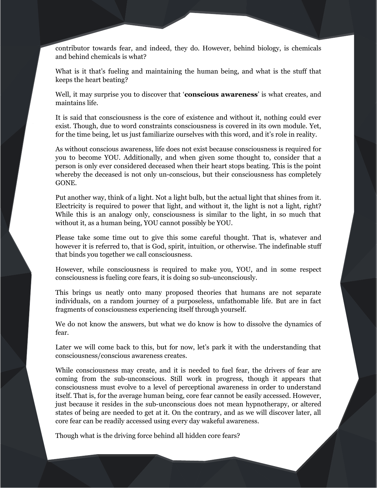contributor towards fear, and indeed, they do. However, behind biology, is chemicals and behind chemicals is what?

What is it that's fueling and maintaining the human being, and what is the stuff that keeps the heart beating?

Well, it may surprise you to discover that '**conscious awareness**' is what creates, and maintains life.

It is said that consciousness is the core of existence and without it, nothing could ever exist. Though, due to word constraints consciousness is covered in its own module. Yet, for the time being, let us just familiarize ourselves with this word, and it's role in reality.

As without conscious awareness, life does not exist because consciousness is required for you to become YOU. Additionally, and when given some thought to, consider that a person is only ever considered deceased when their heart stops beating. This is the point whereby the deceased is not only un-conscious, but their consciousness has completely GONE.

Put another way, think of a light. Not a light bulb, but the actual light that shines from it. Electricity is required to power that light, and without it, the light is not a light, right? While this is an analogy only, consciousness is similar to the light, in so much that without it, as a human being, YOU cannot possibly be YOU.

Please take some time out to give this some careful thought. That is, whatever and however it is referred to, that is God, spirit, intuition, or otherwise. The indefinable stuff that binds you together we call consciousness.

However, while consciousness is required to make you, YOU, and in some respect consciousness is fueling core fears, it is doing so sub-unconsciously.

This brings us neatly onto many proposed theories that humans are not separate individuals, on a random journey of a purposeless, unfathomable life. But are in fact fragments of consciousness experiencing itself through yourself.

We do not know the answers, but what we do know is how to dissolve the dynamics of fear.

Later we will come back to this, but for now, let's park it with the understanding that consciousness/conscious awareness creates.

While consciousness may create, and it is needed to fuel fear, the drivers of fear are coming from the sub-unconscious. Still work in progress, though it appears that consciousness must evolve to a level of perceptional awareness in order to understand itself. That is, for the average human being, core fear cannot be easily accessed. However, just because it resides in the sub-unconscious does not mean hypnotherapy, or altered states of being are needed to get at it. On the contrary, and as we will discover later, all core fear can be readily accessed using every day wakeful awareness.

Though what is the driving force behind all hidden core fears?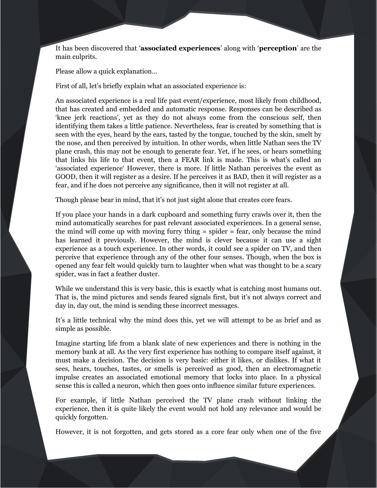It has been discovered that '**associated experiences**' along with '**perception**' are the main culprits.

Please allow a quick explanation…

First of all, let's briefly explain what an associated experience is:

An associated experience is a real life past event/experience, most likely from childhood, that has created and embedded and automatic response. Responses can be described as 'knee jerk reactions', yet as they do not always come from the conscious self, then identifying them takes a little patience. Nevertheless, fear is created by something that is seen with the eyes, heard by the ears, tasted by the tongue, touched by the skin, smelt by the nose, and then perceived by intuition. In other words, when little Nathan sees the TV plane crash, this may not be enough to generate fear. Yet, if he sees, or hears something that links his life to that event, then a FEAR link is made. This is what's called an 'associated experience' However, there is more. If little Nathan perceives the event as GOOD, then it will register as a desire. If he perceives it as BAD, then it will register as a fear, and if he does not perceive any significance, then it will not register at all.

Though please bear in mind, that it's not just sight alone that creates core fears.

If you place your hands in a dark cupboard and something furry crawls over it, then the mind automatically searches for past relevant associated experiences. In a general sense, the mind will come up with moving furry thing = spider = fear, only because the mind has learned it previously. However, the mind is clever because it can use a sight experience as a touch experience. In other words, it could see a spider on TV, and then perceive that experience through any of the other four senses. Though, when the box is opened any fear felt would quickly turn to laughter when what was thought to be a scary spider, was in fact a feather duster.

While we understand this is very basic, this is exactly what is catching most humans out. That is, the mind pictures and sends feared signals first, but it's not always correct and day in, day out, the mind is sending these incorrect messages.

It's a little technical why the mind does this, yet we will attempt to be as brief and as simple as possible.

Imagine starting life from a blank slate of new experiences and there is nothing in the memory bank at all. As the very first experience has nothing to compare itself against, it must make a decision. The decision is very basic: either it likes, or dislikes. If what it sees, hears, touches, tastes, or smells is perceived as good, then an electromagnetic impulse creates an associated emotional memory that locks into place. In a physical sense this is called a neuron, which then goes onto influence similar future experiences.

For example, if little Nathan perceived the TV plane crash without linking the experience, then it is quite likely the event would not hold any relevance and would be quickly forgotten.

However, it is not forgotten, and gets stored as a core fear only when one of the five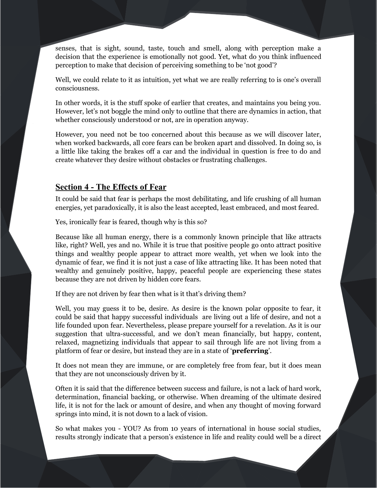senses, that is sight, sound, taste, touch and smell, along with perception make a decision that the experience is emotionally not good. Yet, what do you think influenced perception to make that decision of perceiving something to be 'not good'?

Well, we could relate to it as intuition, yet what we are really referring to is one's overall consciousness.

In other words, it is the stuff spoke of earlier that creates, and maintains you being you. However, let's not boggle the mind only to outline that there are dynamics in action, that whether consciously understood or not, are in operation anyway.

However, you need not be too concerned about this because as we will discover later, when worked backwards, all core fears can be broken apart and dissolved. In doing so, is a little like taking the brakes off a car and the individual in question is free to do and create whatever they desire without obstacles or frustrating challenges.

# **Section 4 - The Effects of Fear**

It could be said that fear is perhaps the most debilitating, and life crushing of all human energies, yet paradoxically, it is also the least accepted, least embraced, and most feared.

Yes, ironically fear is feared, though why is this so?

Because like all human energy, there is a commonly known principle that like attracts like, right? Well, yes and no. While it is true that positive people go onto attract positive things and wealthy people appear to attract more wealth, yet when we look into the dynamic of fear, we find it is not just a case of like attracting like. It has been noted that wealthy and genuinely positive, happy, peaceful people are experiencing these states because they are not driven by hidden core fears.

If they are not driven by fear then what is it that's driving them?

Well, you may guess it to be, desire. As desire is the known polar opposite to fear, it could be said that happy successful individuals are living out a life of desire, and not a life founded upon fear. Nevertheless, please prepare yourself for a revelation. As it is our suggestion that ultra-successful, and we don't mean financially, but happy, content, relaxed, magnetizing individuals that appear to sail through life are not living from a platform of fear or desire, but instead they are in a state of '**preferring**'.

It does not mean they are immune, or are completely free from fear, but it does mean that they are not unconsciously driven by it.

Often it is said that the difference between success and failure, is not a lack of hard work, determination, financial backing, or otherwise. When dreaming of the ultimate desired life, it is not for the lack or amount of desire, and when any thought of moving forward springs into mind, it is not down to a lack of vision.

So what makes you - YOU? As from 10 years of international in house social studies, results strongly indicate that a person's existence in life and reality could well be a direct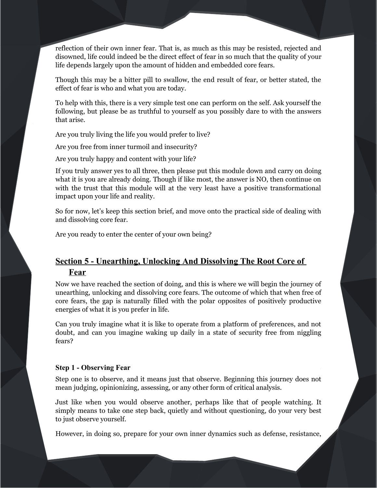reflection of their own inner fear. That is, as much as this may be resisted, rejected and disowned, life could indeed be the direct effect of fear in so much that the quality of your life depends largely upon the amount of hidden and embedded core fears.

Though this may be a bitter pill to swallow, the end result of fear, or better stated, the effect of fear is who and what you are today.

To help with this, there is a very simple test one can perform on the self. Ask yourself the following, but please be as truthful to yourself as you possibly dare to with the answers that arise.

Are you truly living the life you would prefer to live?

Are you free from inner turmoil and insecurity?

Are you truly happy and content with your life?

If you truly answer yes to all three, then please put this module down and carry on doing what it is you are already doing. Though if like most, the answer is NO, then continue on with the trust that this module will at the very least have a positive transformational impact upon your life and reality.

So for now, let's keep this section brief, and move onto the practical side of dealing with and dissolving core fear.

Are you ready to enter the center of your own being?

# **Section 5 - Unearthing, Unlocking And Dissolving The Root Core of Fear**

Now we have reached the section of doing, and this is where we will begin the journey of unearthing, unlocking and dissolving core fears. The outcome of which that when free of core fears, the gap is naturally filled with the polar opposites of positively productive energies of what it is you prefer in life.

Can you truly imagine what it is like to operate from a platform of preferences, and not doubt, and can you imagine waking up daily in a state of security free from niggling fears?

# **Step 1 - Observing Fear**

Step one is to observe, and it means just that observe. Beginning this journey does not mean judging, opinionizing, assessing, or any other form of critical analysis.

Just like when you would observe another, perhaps like that of people watching. It simply means to take one step back, quietly and without questioning, do your very best to just observe yourself.

However, in doing so, prepare for your own inner dynamics such as defense, resistance,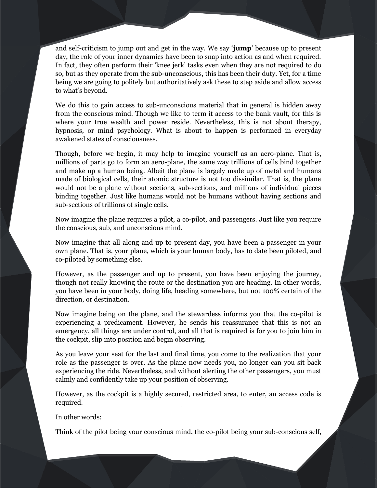and self-criticism to jump out and get in the way. We say '**jump**' because up to present day, the role of your inner dynamics have been to snap into action as and when required. In fact, they often perform their 'knee jerk' tasks even when they are not required to do so, but as they operate from the sub-unconscious, this has been their duty. Yet, for a time being we are going to politely but authoritatively ask these to step aside and allow access to what's beyond.

We do this to gain access to sub-unconscious material that in general is hidden away from the conscious mind. Though we like to term it access to the bank vault, for this is where your true wealth and power reside. Nevertheless, this is not about therapy, hypnosis, or mind psychology. What is about to happen is performed in everyday awakened states of consciousness.

Though, before we begin, it may help to imagine yourself as an aero-plane. That is, millions of parts go to form an aero-plane, the same way trillions of cells bind together and make up a human being. Albeit the plane is largely made up of metal and humans made of biological cells, their atomic structure is not too dissimilar. That is, the plane would not be a plane without sections, sub-sections, and millions of individual pieces binding together. Just like humans would not be humans without having sections and sub-sections of trillions of single cells.

Now imagine the plane requires a pilot, a co-pilot, and passengers. Just like you require the conscious, sub, and unconscious mind.

Now imagine that all along and up to present day, you have been a passenger in your own plane. That is, your plane, which is your human body, has to date been piloted, and co-piloted by something else.

However, as the passenger and up to present, you have been enjoying the journey, though not really knowing the route or the destination you are heading. In other words, you have been in your body, doing life, heading somewhere, but not 100% certain of the direction, or destination.

Now imagine being on the plane, and the stewardess informs you that the co-pilot is experiencing a predicament. However, he sends his reassurance that this is not an emergency, all things are under control, and all that is required is for you to join him in the cockpit, slip into position and begin observing.

As you leave your seat for the last and final time, you come to the realization that your role as the passenger is over. As the plane now needs you, no longer can you sit back experiencing the ride. Nevertheless, and without alerting the other passengers, you must calmly and confidently take up your position of observing.

However, as the cockpit is a highly secured, restricted area, to enter, an access code is required.

In other words:

Think of the pilot being your conscious mind, the co-pilot being your sub-conscious self,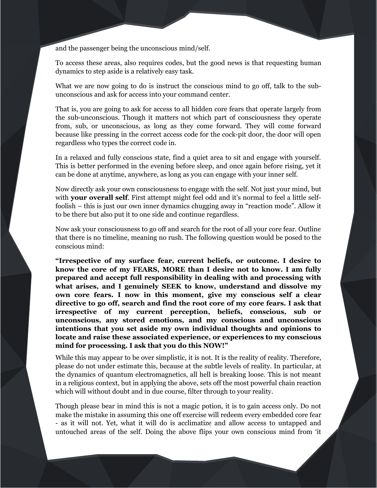and the passenger being the unconscious mind/self.

To access these areas, also requires codes, but the good news is that requesting human dynamics to step aside is a relatively easy task.

What we are now going to do is instruct the conscious mind to go off, talk to the subunconscious and ask for access into your command center.

That is, you are going to ask for access to all hidden core fears that operate largely from the sub-unconscious. Though it matters not which part of consciousness they operate from, sub, or unconscious, as long as they come forward. They will come forward because like pressing in the correct access code for the cock-pit door, the door will open regardless who types the correct code in.

In a relaxed and fully conscious state, find a quiet area to sit and engage with yourself. This is better performed in the evening before sleep, and once again before rising, yet it can be done at anytime, anywhere, as long as you can engage with your inner self.

Now directly ask your own consciousness to engage with the self. Not just your mind, but with **your overall self**. First attempt might feel odd and it's normal to feel a little selffoolish – this is just our own inner dynamics chugging away in "reaction mode". Allow it to be there but also put it to one side and continue regardless.

Now ask your consciousness to go off and search for the root of all your core fear. Outline that there is no timeline, meaning no rush. The following question would be posed to the conscious mind:

**"Irrespective of my surface fear, current beliefs, or outcome. I desire to know the core of my FEARS, MORE than I desire not to know. I am fully prepared and accept full responsibility in dealing with and processing with what arises, and I genuinely SEEK to know, understand and dissolve my own core fears. I now in this moment, give my conscious self a clear directive to go off, search and find the root core of my core fears. I ask that irrespective of my current perception, beliefs, conscious, sub or unconscious, any stored emotions, and my conscious and unconscious intentions that you set aside my own individual thoughts and opinions to locate and raise these associated experience, or experiences to my conscious mind for processing. I ask that you do this NOW!"**

While this may appear to be over simplistic, it is not. It is the reality of reality. Therefore, please do not under estimate this, because at the subtle levels of reality. In particular, at the dynamics of quantum electromagnetics, all hell is breaking loose. This is not meant in a religious context, but in applying the above, sets off the most powerful chain reaction which will without doubt and in due course, filter through to your reality.

Though please bear in mind this is not a magic potion, it is to gain access only. Do not make the mistake in assuming this one off exercise will redeem every embedded core fear - as it will not. Yet, what it will do is acclimatize and allow access to untapped and untouched areas of the self. Doing the above flips your own conscious mind from 'it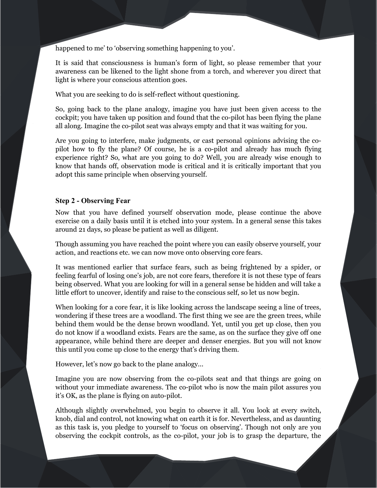happened to me' to 'observing something happening to you'.

It is said that consciousness is human's form of light, so please remember that your awareness can be likened to the light shone from a torch, and wherever you direct that light is where your conscious attention goes.

What you are seeking to do is self-reflect without questioning.

So, going back to the plane analogy, imagine you have just been given access to the cockpit; you have taken up position and found that the co-pilot has been flying the plane all along. Imagine the co-pilot seat was always empty and that it was waiting for you.

Are you going to interfere, make judgments, or cast personal opinions advising the copilot how to fly the plane? Of course, he is a co-pilot and already has much flying experience right? So, what are you going to do? Well, you are already wise enough to know that hands off, observation mode is critical and it is critically important that you adopt this same principle when observing yourself.

# **Step 2 - Observing Fear**

Now that you have defined yourself observation mode, please continue the above exercise on a daily basis until it is etched into your system. In a general sense this takes around 21 days, so please be patient as well as diligent.

Though assuming you have reached the point where you can easily observe yourself, your action, and reactions etc. we can now move onto observing core fears.

It was mentioned earlier that surface fears, such as being frightened by a spider, or feeling fearful of losing one's job, are not core fears, therefore it is not these type of fears being observed. What you are looking for will in a general sense be hidden and will take a little effort to uncover, identify and raise to the conscious self, so let us now begin.

When looking for a core fear, it is like looking across the landscape seeing a line of trees, wondering if these trees are a woodland. The first thing we see are the green trees, while behind them would be the dense brown woodland. Yet, until you get up close, then you do not know if a woodland exists. Fears are the same, as on the surface they give off one appearance, while behind there are deeper and denser energies. But you will not know this until you come up close to the energy that's driving them.

However, let's now go back to the plane analogy...

Imagine you are now observing from the co-pilots seat and that things are going on without your immediate awareness. The co-pilot who is now the main pilot assures you it's OK, as the plane is flying on auto-pilot.

Although slightly overwhelmed, you begin to observe it all. You look at every switch, knob, dial and control, not knowing what on earth it is for. Nevertheless, and as daunting as this task is, you pledge to yourself to 'focus on observing'. Though not only are you observing the cockpit controls, as the co-pilot, your job is to grasp the departure, the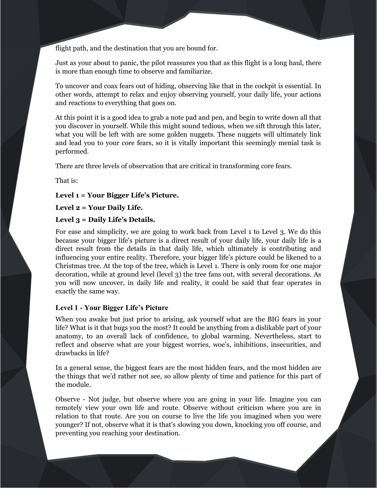flight path, and the destination that you are bound for.

Just as your about to panic, the pilot reassures you that as this flight is a long haul, there is more than enough time to observe and familiarize.

To uncover and coax fears out of hiding, observing like that in the cockpit is essential. In other words, attempt to relax and enjoy observing yourself, your daily life, your actions and reactions to everything that goes on.

At this point it is a good idea to grab a note pad and pen, and begin to write down all that you discover in yourself. While this might sound tedious, when we sift through this later, what you will be left with are some golden nuggets. These nuggets will ultimately link and lead you to your core fears, so it is vitally important this seemingly menial task is performed.

There are three levels of observation that are critical in transforming core fears.

That is:

## **Level 1 = Your Bigger Life's Picture.**

# **Level 2 = Your Daily Life.**

# **Level 3 = Daily Life's Details.**

For ease and simplicity, we are going to work back from Level 1 to Level 3. We do this because your bigger life's picture is a direct result of your daily life, your daily life is a direct result from the details in that daily life, which ultimately is contributing and influencing your entire reality. Therefore, your bigger life's picture could be likened to a Christmas tree. At the top of the tree, which is Level 1. There is only room for one major decoration, while at ground level (level 3) the tree fans out, with several decorations. As you will now uncover, in daily life and reality, it could be said that fear operates in exactly the same way.

#### **Level 1 - Your Bigger Life's Picture**

When you awake but just prior to arising, ask yourself what are the BIG fears in your life? What is it that bugs you the most? It could be anything from a dislikable part of your anatomy, to an overall lack of confidence, to global warming. Nevertheless, start to reflect and observe what are your biggest worries, woe's, inhibitions, insecurities, and drawbacks in life?

In a general sense, the biggest fears are the most hidden fears, and the most hidden are the things that we'd rather not see, so allow plenty of time and patience for this part of the module.

Observe - Not judge, but observe where you are going in your life. Imagine you can remotely view your own life and route. Observe without criticism where you are in relation to that route. Are you on course to live the life you imagined when you were younger? If not, observe what it is that's slowing you down, knocking you off course, and preventing you reaching your destination.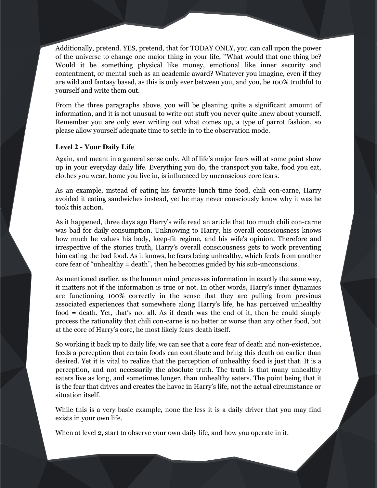Additionally, pretend. YES, pretend, that for TODAY ONLY, you can call upon the power of the universe to change one major thing in your life, [11](#page-63-10)What would that one thing be? Would it be something physical like money, emotional like inner security and contentment, or mental such as an academic award? Whatever you imagine, even if they are wild and fantasy based, as this is only ever between you, and you, be 100% truthful to yourself and write them out.

From the three paragraphs above, you will be gleaning quite a significant amount of information, and it is not unusual to write out stuff you never quite knew about yourself. Remember you are only ever writing out what comes up, a type of parrot fashion, so please allow yourself adequate time to settle in to the observation mode.

# **Level 2 - Your Daily Life**

Again, and meant in a general sense only. All of life's major fears will at some point show up in your everyday daily life. Everything you do, the transport you take, food you eat, clothes you wear, home you live in, is influenced by unconscious core fears.

As an example, instead of eating his favorite lunch time food, chili con-carne, Harry avoided it eating sandwiches instead, yet he may never consciously know why it was he took this action.

As it happened, three days ago Harry's wife read an article that too much chili con-carne was bad for daily consumption. Unknowing to Harry, his overall consciousness knows how much he values his body, keep-fit regime, and his wife's opinion. Therefore and irrespective of the stories truth, Harry's overall consciousness gets to work preventing him eating the bad food. As it knows, he fears being unhealthy, which feeds from another core fear of "unhealthy = death", then he becomes guided by his sub-unconscious.

As mentioned earlier, as the human mind processes information in exactly the same way, it matters not if the information is true or not. In other words, Harry's inner dynamics are functioning 100% correctly in the sense that they are pulling from previous associated experiences that somewhere along Harry's life, he has perceived unhealthy food = death. Yet, that's not all. As if death was the end of it, then he could simply process the rationality that chili con-carne is no better or worse than any other food, but at the core of Harry's core, he most likely fears death itself.

So working it back up to daily life, we can see that a core fear of death and non-existence, feeds a perception that certain foods can contribute and bring this death on earlier than desired. Yet it is vital to realize that the perception of unhealthy food is just that. It is a perception, and not necessarily the absolute truth. The truth is that many unhealthy eaters live as long, and sometimes longer, than unhealthy eaters. The point being that it is the fear that drives and creates the havoc in Harry's life, not the actual circumstance or situation itself.

While this is a very basic example, none the less it is a daily driver that you may find exists in your own life.

When at level 2, start to observe your own daily life, and how you operate in it.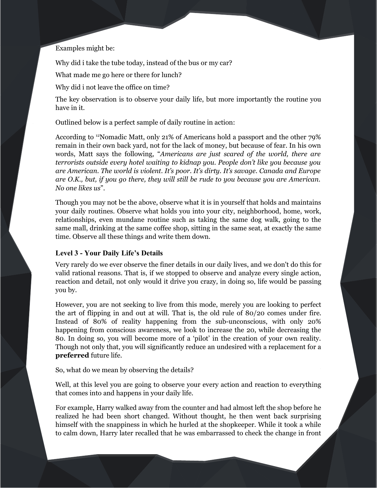# Examples might be:

Why did i take the tube today, instead of the bus or my car?

What made me go here or there for lunch?

Why did i not leave the office on time?

The key observation is to observe your daily life, but more importantly the routine you have in it.

Outlined below is a perfect sample of daily routine in action:

According to [12](#page-64-0)Nomadic Matt, only 21% of Americans hold a passport and the other 79% remain in their own back yard, not for the lack of money, but because of fear. In his own words, Matt says the following, "*Americans are just scared of the world, there are terrorists outside every hotel waiting to kidnap you. People don't like you because you are American. The world is violent. It's poor. It's dirty. It's savage. Canada and Europe are O.K., but, if you go there, they will still be rude to you because you are American. No one likes us*".

Though you may not be the above, observe what it is in yourself that holds and maintains your daily routines. Observe what holds you into your city, neighborhood, home, work, relationships, even mundane routine such as taking the same dog walk, going to the same mall, drinking at the same coffee shop, sitting in the same seat, at exactly the same time. Observe all these things and write them down.

#### **Level 3 - Your Daily Life's Details**

Very rarely do we ever observe the finer details in our daily lives, and we don't do this for valid rational reasons. That is, if we stopped to observe and analyze every single action, reaction and detail, not only would it drive you crazy, in doing so, life would be passing you by.

However, you are not seeking to live from this mode, merely you are looking to perfect the art of flipping in and out at will. That is, the old rule of 80/20 comes under fire. Instead of 80% of reality happening from the sub-unconscious, with only 20% happening from conscious awareness, we look to increase the 20, while decreasing the 80. In doing so, you will become more of a 'pilot' in the creation of your own reality. Though not only that, you will significantly reduce an undesired with a replacement for a **preferred** future life.

So, what do we mean by observing the details?

Well, at this level you are going to observe your every action and reaction to everything that comes into and happens in your daily life.

For example, Harry walked away from the counter and had almost left the shop before he realized he had been short changed. Without thought, he then went back surprising himself with the snappiness in which he hurled at the shopkeeper. While it took a while to calm down, Harry later recalled that he was embarrassed to check the change in front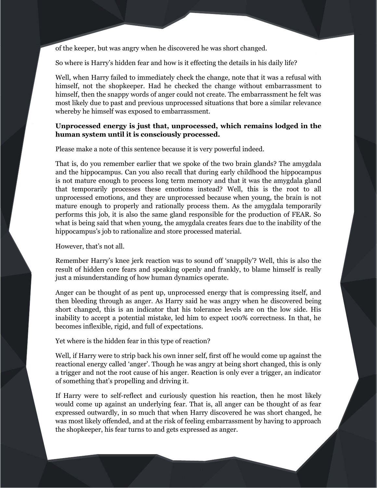of the keeper, but was angry when he discovered he was short changed.

So where is Harry's hidden fear and how is it effecting the details in his daily life?

Well, when Harry failed to immediately check the change, note that it was a refusal with himself, not the shopkeeper. Had he checked the change without embarrassment to himself, then the snappy words of anger could not create. The embarrassment he felt was most likely due to past and previous unprocessed situations that bore a similar relevance whereby he himself was exposed to embarrassment.

# **Unprocessed energy is just that, unprocessed, which remains lodged in the human system until it is consciously processed.**

Please make a note of this sentence because it is very powerful indeed.

That is, do you remember earlier that we spoke of the two brain glands? The amygdala and the hippocampus. Can you also recall that during early childhood the hippocampus is not mature enough to process long term memory and that it was the amygdala gland that temporarily processes these emotions instead? Well, this is the root to all unprocessed emotions, and they are unprocessed because when young, the brain is not mature enough to properly and rationally process them. As the amygdala temporarily performs this job, it is also the same gland responsible for the production of FEAR. So what is being said that when young, the amygdala creates fears due to the inability of the hippocampus's job to rationalize and store processed material.

However, that's not all.

Remember Harry's knee jerk reaction was to sound off 'snappily'? Well, this is also the result of hidden core fears and speaking openly and frankly, to blame himself is really just a misunderstanding of how human dynamics operate.

Anger can be thought of as pent up, unprocessed energy that is compressing itself, and then bleeding through as anger. As Harry said he was angry when he discovered being short changed, this is an indicator that his tolerance levels are on the low side. His inability to accept a potential mistake, led him to expect 100% correctness. In that, he becomes inflexible, rigid, and full of expectations.

Yet where is the hidden fear in this type of reaction?

Well, if Harry were to strip back his own inner self, first off he would come up against the reactional energy called 'anger'. Though he was angry at being short changed, this is only a trigger and not the root cause of his anger. Reaction is only ever a trigger, an indicator of something that's propelling and driving it.

If Harry were to self-reflect and curiously question his reaction, then he most likely would come up against an underlying fear. That is, all anger can be thought of as fear expressed outwardly, in so much that when Harry discovered he was short changed, he was most likely offended, and at the risk of feeling embarrassment by having to approach the shopkeeper, his fear turns to and gets expressed as anger.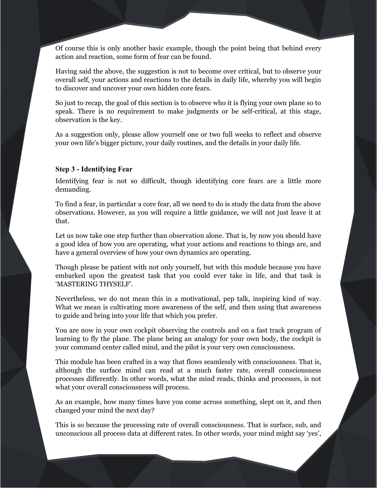Of course this is only another basic example, though the point being that behind every action and reaction, some form of fear can be found.

Having said the above, the suggestion is not to become over critical, but to observe your overall self, your actions and reactions to the details in daily life, whereby you will begin to discover and uncover your own hidden core fears.

So just to recap, the goal of this section is to observe who it is flying your own plane so to speak. There is no requirement to make judgments or be self-critical, at this stage, observation is the key.

As a suggestion only, please allow yourself one or two full weeks to reflect and observe your own life's bigger picture, your daily routines, and the details in your daily life.

# **Step 3 - Identifying Fear**

Identifying fear is not so difficult, though identifying core fears are a little more demanding.

To find a fear, in particular a core fear, all we need to do is study the data from the above observations. However, as you will require a little guidance, we will not just leave it at that.

Let us now take one step further than observation alone. That is, by now you should have a good idea of how you are operating, what your actions and reactions to things are, and have a general overview of how your own dynamics are operating.

Though please be patient with not only yourself, but with this module because you have embarked upon the greatest task that you could ever take in life, and that task is 'MASTERING THYSELF'.

Nevertheless, we do not mean this in a motivational, pep talk, inspiring kind of way. What we mean is cultivating more awareness of the self, and then using that awareness to guide and bring into your life that which you prefer.

You are now in your own cockpit observing the controls and on a fast track program of learning to fly the plane. The plane being an analogy for your own body, the cockpit is your command center called mind, and the pilot is your very own consciousness.

This module has been crafted in a way that flows seamlessly with consciousness. That is, although the surface mind can read at a much faster rate, overall consciousness processes differently. In other words, what the mind reads, thinks and processes, is not what your overall consciousness will process.

As an example, how many times have you come across something, slept on it, and then changed your mind the next day?

This is so because the processing rate of overall consciousness. That is surface, sub, and unconscious all process data at different rates. In other words, your mind might say 'yes',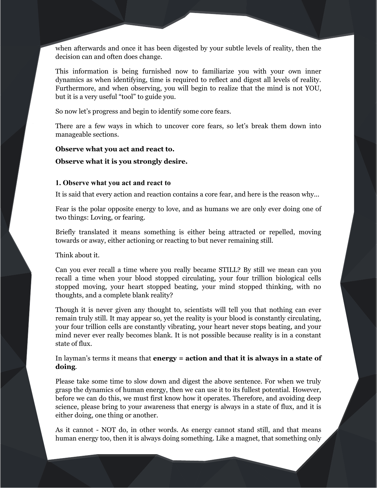when afterwards and once it has been digested by your subtle levels of reality, then the decision can and often does change.

This information is being furnished now to familiarize you with your own inner dynamics as when identifying, time is required to reflect and digest all levels of reality. Furthermore, and when observing, you will begin to realize that the mind is not YOU, but it is a very useful "tool" to guide you.

So now let's progress and begin to identify some core fears.

There are a few ways in which to uncover core fears, so let's break them down into manageable sections.

# **Observe what you act and react to.**

#### **Observe what it is you strongly desire.**

# **1. Observe what you act and react to**

It is said that every action and reaction contains a core fear, and here is the reason why...

Fear is the polar opposite energy to love, and as humans we are only ever doing one of two things: Loving, or fearing.

Briefly translated it means something is either being attracted or repelled, moving towards or away, either actioning or reacting to but never remaining still.

Think about it.

Can you ever recall a time where you really became STILL? By still we mean can you recall a time when your blood stopped circulating, your four trillion biological cells stopped moving, your heart stopped beating, your mind stopped thinking, with no thoughts, and a complete blank reality?

Though it is never given any thought to, scientists will tell you that nothing can ever remain truly still. It may appear so, yet the reality is your blood is constantly circulating, your four trillion cells are constantly vibrating, your heart never stops beating, and your mind never ever really becomes blank. It is not possible because reality is in a constant state of flux.

In layman's terms it means that **energy = action and that it is always in a state of doing**.

Please take some time to slow down and digest the above sentence. For when we truly grasp the dynamics of human energy, then we can use it to its fullest potential. However, before we can do this, we must first know how it operates. Therefore, and avoiding deep science, please bring to your awareness that energy is always in a state of flux, and it is either doing, one thing or another.

As it cannot - NOT do, in other words. As energy cannot stand still, and that means human energy too, then it is always doing something. Like a magnet, that something only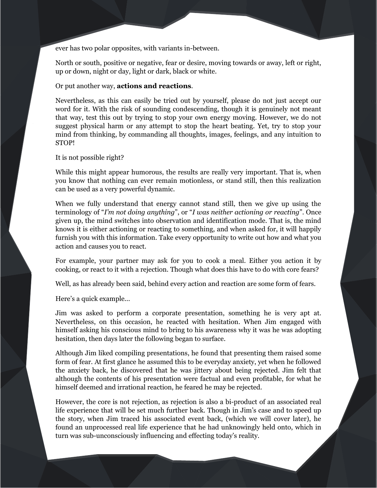ever has two polar opposites, with variants in-between.

North or south, positive or negative, fear or desire, moving towards or away, left or right, up or down, night or day, light or dark, black or white.

# Or put another way, **actions and reactions**.

Nevertheless, as this can easily be tried out by yourself, please do not just accept our word for it. With the risk of sounding condescending, though it is genuinely not meant that way, test this out by trying to stop your own energy moving. However, we do not suggest physical harm or any attempt to stop the heart beating. Yet, try to stop your mind from thinking, by commanding all thoughts, images, feelings, and any intuition to STOP!

#### It is not possible right?

While this might appear humorous, the results are really very important. That is, when you know that nothing can ever remain motionless, or stand still, then this realization can be used as a very powerful dynamic.

When we fully understand that energy cannot stand still, then we give up using the terminology of "*I'm not doing anything*", or "*I was neither actioning or reacting*". Once given up, the mind switches into observation and identification mode. That is, the mind knows it is either actioning or reacting to something, and when asked for, it will happily furnish you with this information. Take every opportunity to write out how and what you action and causes you to react.

For example, your partner may ask for you to cook a meal. Either you action it by cooking, or react to it with a rejection. Though what does this have to do with core fears?

Well, as has already been said, behind every action and reaction are some form of fears.

Here's a quick example...

Jim was asked to perform a corporate presentation, something he is very apt at. Nevertheless, on this occasion, he reacted with hesitation. When Jim engaged with himself asking his conscious mind to bring to his awareness why it was he was adopting hesitation, then days later the following began to surface.

Although Jim liked compiling presentations, he found that presenting them raised some form of fear. At first glance he assumed this to be everyday anxiety, yet when he followed the anxiety back, he discovered that he was jittery about being rejected. Jim felt that although the contents of his presentation were factual and even profitable, for what he himself deemed and irrational reaction, he feared he may be rejected.

However, the core is not rejection, as rejection is also a bi-product of an associated real life experience that will be set much further back. Though in Jim's case and to speed up the story, when Jim traced his associated event back, (which we will cover later), he found an unprocessed real life experience that he had unknowingly held onto, which in turn was sub-unconsciously influencing and effecting today's reality.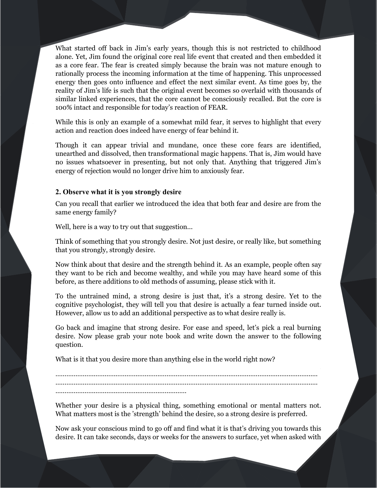What started off back in Jim's early years, though this is not restricted to childhood alone. Yet, Jim found the original core real life event that created and then embedded it as a core fear. The fear is created simply because the brain was not mature enough to rationally process the incoming information at the time of happening. This unprocessed energy then goes onto influence and effect the next similar event. As time goes by, the reality of Jim's life is such that the original event becomes so overlaid with thousands of similar linked experiences, that the core cannot be consciously recalled. But the core is 100% intact and responsible for today's reaction of FEAR.

While this is only an example of a somewhat mild fear, it serves to highlight that every action and reaction does indeed have energy of fear behind it.

Though it can appear trivial and mundane, once these core fears are identified, unearthed and dissolved, then transformational magic happens. That is, Jim would have no issues whatsoever in presenting, but not only that. Anything that triggered Jim's energy of rejection would no longer drive him to anxiously fear.

# **2. Observe what it is you strongly desire**

Can you recall that earlier we introduced the idea that both fear and desire are from the same energy family?

Well, here is a way to try out that suggestion...

Think of something that you strongly desire. Not just desire, or really like, but something that you strongly, strongly desire.

Now think about that desire and the strength behind it. As an example, people often say they want to be rich and become wealthy, and while you may have heard some of this before, as there additions to old methods of assuming, please stick with it.

To the untrained mind, a strong desire is just that, it's a strong desire. Yet to the cognitive psychologist, they will tell you that desire is actually a fear turned inside out. However, allow us to add an additional perspective as to what desire really is.

Go back and imagine that strong desire. For ease and speed, let's pick a real burning desire. Now please grab your note book and write down the answer to the following question.

What is it that you desire more than anything else in the world right now?

……………………………………………………………………………………………………………………………… ……………………………………………………………………………………………………………………………… ………………………………………………………………

Whether your desire is a physical thing, something emotional or mental matters not. What matters most is the 'strength' behind the desire, so a strong desire is preferred.

Now ask your conscious mind to go off and find what it is that's driving you towards this desire. It can take seconds, days or weeks for the answers to surface, yet when asked with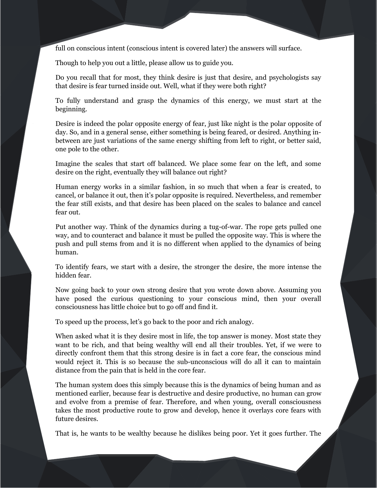full on conscious intent (conscious intent is covered later) the answers will surface.

Though to help you out a little, please allow us to guide you.

Do you recall that for most, they think desire is just that desire, and psychologists say that desire is fear turned inside out. Well, what if they were both right?

To fully understand and grasp the dynamics of this energy, we must start at the beginning.

Desire is indeed the polar opposite energy of fear, just like night is the polar opposite of day. So, and in a general sense, either something is being feared, or desired. Anything inbetween are just variations of the same energy shifting from left to right, or better said, one pole to the other.

Imagine the scales that start off balanced. We place some fear on the left, and some desire on the right, eventually they will balance out right?

Human energy works in a similar fashion, in so much that when a fear is created, to cancel, or balance it out, then it's polar opposite is required. Nevertheless, and remember the fear still exists, and that desire has been placed on the scales to balance and cancel fear out.

Put another way. Think of the dynamics during a tug-of-war. The rope gets pulled one way, and to counteract and balance it must be pulled the opposite way. This is where the push and pull stems from and it is no different when applied to the dynamics of being human.

To identify fears, we start with a desire, the stronger the desire, the more intense the hidden fear.

Now going back to your own strong desire that you wrote down above. Assuming you have posed the curious questioning to your conscious mind, then your overall consciousness has little choice but to go off and find it.

To speed up the process, let's go back to the poor and rich analogy.

When asked what it is they desire most in life, the top answer is money. Most state they want to be rich, and that being wealthy will end all their troubles. Yet, if we were to directly confront them that this strong desire is in fact a core fear, the conscious mind would reject it. This is so because the sub-unconscious will do all it can to maintain distance from the pain that is held in the core fear.

The human system does this simply because this is the dynamics of being human and as mentioned earlier, because fear is destructive and desire productive, no human can grow and evolve from a premise of fear. Therefore, and when young, overall consciousness takes the most productive route to grow and develop, hence it overlays core fears with future desires.

That is, he wants to be wealthy because he dislikes being poor. Yet it goes further. The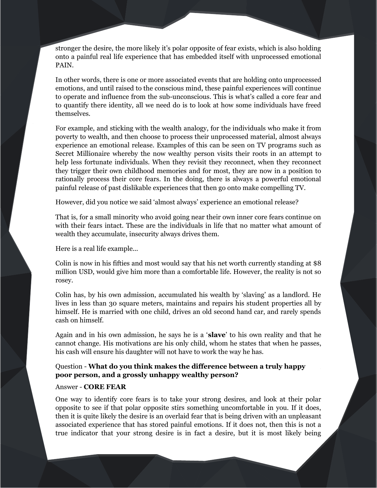stronger the desire, the more likely it's polar opposite of fear exists, which is also holding onto a painful real life experience that has embedded itself with unprocessed emotional PAIN.

In other words, there is one or more associated events that are holding onto unprocessed emotions, and until raised to the conscious mind, these painful experiences will continue to operate and influence from the sub-unconscious. This is what's called a core fear and to quantify there identity, all we need do is to look at how some individuals have freed themselves.

For example, and sticking with the wealth analogy, for the individuals who make it from poverty to wealth, and then choose to process their unprocessed material, almost always experience an emotional release. Examples of this can be seen on TV programs such as Secret Millionaire whereby the now wealthy person visits their roots in an attempt to help less fortunate individuals. When they revisit they reconnect, when they reconnect they trigger their own childhood memories and for most, they are now in a position to rationally process their core fears. In the doing, there is always a powerful emotional painful release of past dislikable experiences that then go onto make compelling TV.

However, did you notice we said 'almost always' experience an emotional release?

That is, for a small minority who avoid going near their own inner core fears continue on with their fears intact. These are the individuals in life that no matter what amount of wealth they accumulate, insecurity always drives them.

Here is a real life example...

Colin is now in his fifties and most would say that his net worth currently standing at \$8 million USD, would give him more than a comfortable life. However, the reality is not so rosey.

Colin has, by his own admission, accumulated his wealth by 'slaving' as a landlord. He lives in less than 30 square meters, maintains and repairs his student properties all by himself. He is married with one child, drives an old second hand car, and rarely spends cash on himself.

Again and in his own admission, he says he is a '**slave**' to his own reality and that he cannot change. His motivations are his only child, whom he states that when he passes, his cash will ensure his daughter will not have to work the way he has.

# Question - **What do you think makes the difference between a truly happy poor person, and a grossly unhappy wealthy person?**

# Answer - **CORE FEAR**

One way to identify core fears is to take your strong desires, and look at their polar opposite to see if that polar opposite stirs something uncomfortable in you. If it does, then it is quite likely the desire is an overlaid fear that is being driven with an unpleasant associated experience that has stored painful emotions. If it does not, then this is not a true indicator that your strong desire is in fact a desire, but it is most likely being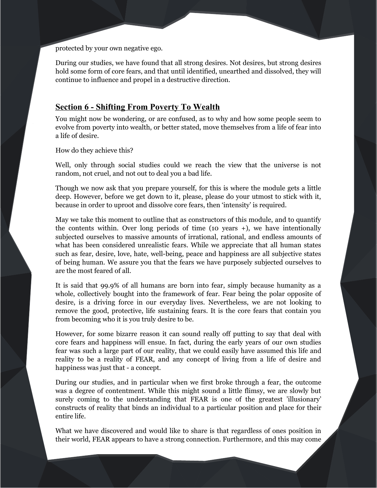protected by your own negative ego.

During our studies, we have found that all strong desires. Not desires, but strong desires hold some form of core fears, and that until identified, unearthed and dissolved, they will continue to influence and propel in a destructive direction.

# **Section 6 - Shifting From Poverty To Wealth**

You might now be wondering, or are confused, as to why and how some people seem to evolve from poverty into wealth, or better stated, move themselves from a life of fear into a life of desire.

How do they achieve this?

Well, only through social studies could we reach the view that the universe is not random, not cruel, and not out to deal you a bad life.

Though we now ask that you prepare yourself, for this is where the module gets a little deep. However, before we get down to it, please, please do your utmost to stick with it, because in order to uproot and dissolve core fears, then 'intensity' is required.

May we take this moment to outline that as constructors of this module, and to quantify the contents within. Over long periods of time (10 years +), we have intentionally subjected ourselves to massive amounts of irrational, rational, and endless amounts of what has been considered unrealistic fears. While we appreciate that all human states such as fear, desire, love, hate, well-being, peace and happiness are all subjective states of being human. We assure you that the fears we have purposely subjected ourselves to are the most feared of all.

It is said that 99.9% of all humans are born into fear, simply because humanity as a whole, collectively bought into the framework of fear. Fear being the polar opposite of desire, is a driving force in our everyday lives. Nevertheless, we are not looking to remove the good, protective, life sustaining fears. It is the core fears that contain you from becoming who it is you truly desire to be.

However, for some bizarre reason it can sound really off putting to say that deal with core fears and happiness will ensue. In fact, during the early years of our own studies fear was such a large part of our reality, that we could easily have assumed this life and reality to be a reality of FEAR, and any concept of living from a life of desire and happiness was just that - a concept.

During our studies, and in particular when we first broke through a fear, the outcome was a degree of contentment. While this might sound a little flimsy, we are slowly but surely coming to the understanding that FEAR is one of the greatest 'illusionary' constructs of reality that binds an individual to a particular position and place for their entire life.

What we have discovered and would like to share is that regardless of ones position in their world, FEAR appears to have a strong connection. Furthermore, and this may come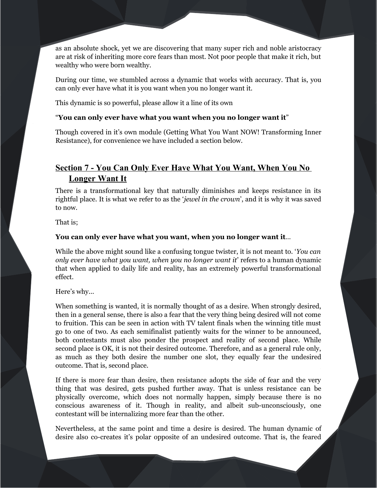as an absolute shock, yet we are discovering that many super rich and noble aristocracy are at risk of inheriting more core fears than most. Not poor people that make it rich, but wealthy who were born wealthy.

During our time, we stumbled across a dynamic that works with accuracy. That is, you can only ever have what it is you want when you no longer want it.

This dynamic is so powerful, please allow it a line of its own

# "**You can only ever have what you want when you no longer want it**"

Though covered in it's own module (Getting What You Want NOW! Transforming Inner Resistance), for convenience we have included a section below.

# **Section 7 - You Can Only Ever Have What You Want, When You No Longer Want It**

There is a transformational key that naturally diminishes and keeps resistance in its rightful place. It is what we refer to as the '*jewel in the crown*', and it is why it was saved to now.

That is;

# **You can only ever have what you want, when you no longer want it**…

While the above might sound like a confusing tongue twister, it is not meant to. '*You can only ever have what you want, when you no longer want it*' refers to a human dynamic that when applied to daily life and reality, has an extremely powerful transformational effect.

Here's why...

When something is wanted, it is normally thought of as a desire. When strongly desired, then in a general sense, there is also a fear that the very thing being desired will not come to fruition. This can be seen in action with TV talent finals when the winning title must go to one of two. As each semifinalist patiently waits for the winner to be announced, both contestants must also ponder the prospect and reality of second place. While second place is OK, it is not their desired outcome. Therefore, and as a general rule only, as much as they both desire the number one slot, they equally fear the undesired outcome. That is, second place.

If there is more fear than desire, then resistance adopts the side of fear and the very thing that was desired, gets pushed further away. That is unless resistance can be physically overcome, which does not normally happen, simply because there is no conscious awareness of it. Though in reality, and albeit sub-unconsciously, one contestant will be internalizing more fear than the other.

Nevertheless, at the same point and time a desire is desired. The human dynamic of desire also co-creates it's polar opposite of an undesired outcome. That is, the feared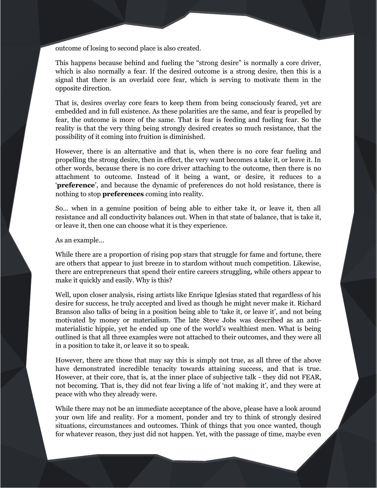outcome of losing to second place is also created.

This happens because behind and fueling the "strong desire" is normally a core driver, which is also normally a fear. If the desired outcome is a strong desire, then this is a signal that there is an overlaid core fear, which is serving to motivate them in the opposite direction.

That is, desires overlay core fears to keep them from being consciously feared, yet are embedded and in full existence. As these polarities are the same, and fear is propelled by fear, the outcome is more of the same. That is fear is feeding and fueling fear. So the reality is that the very thing being strongly desired creates so much resistance, that the possibility of it coming into fruition is diminished.

However, there is an alternative and that is, when there is no core fear fueling and propelling the strong desire, then in effect, the very want becomes a take it, or leave it. In other words, because there is no core driver attaching to the outcome, then there is no attachment to outcome. Instead of it being a want, or desire, it reduces to a '**preference**', and because the dynamic of preferences do not hold resistance, there is nothing to stop **preferences** coming into reality.

So… when in a genuine position of being able to either take it, or leave it, then all resistance and all conductivity balances out. When in that state of balance, that is take it, or leave it, then one can choose what it is they experience.

As an example…

While there are a proportion of rising pop stars that struggle for fame and fortune, there are others that appear to just breeze in to stardom without much competition. Likewise, there are entrepreneurs that spend their entire careers struggling, while others appear to make it quickly and easily. Why is this?

Well, upon closer analysis, rising artists like Enrique Iglesias stated that regardless of his desire for success, he truly accepted and lived as though he might never make it. Richard Branson also talks of being in a position being able to 'take it, or leave it', and not being motivated by money or materialism. The late Steve Jobs was described as an antimaterialistic hippie, yet he ended up one of the world's wealthiest men. What is being outlined is that all three examples were not attached to their outcomes, and they were all in a position to take it, or leave it so to speak.

However, there are those that may say this is simply not true, as all three of the above have demonstrated incredible tenacity towards attaining success, and that is true. However, at their core, that is, at the inner place of subjective talk - they did not FEAR, not becoming. That is, they did not fear living a life of 'not making it', and they were at peace with who they already were.

While there may not be an immediate acceptance of the above, please have a look around your own life and reality. For a moment, ponder and try to think of strongly desired situations, circumstances and outcomes. Think of things that you once wanted, though for whatever reason, they just did not happen. Yet, with the passage of time, maybe even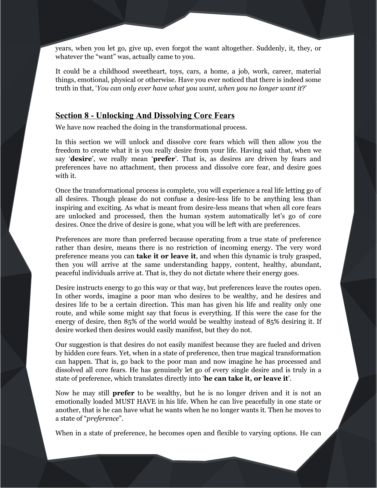years, when you let go, give up, even forgot the want altogether. Suddenly, it, they, or whatever the "want" was, actually came to you.

It could be a childhood sweetheart, toys, cars, a home, a job, work, career, material things, emotional, physical or otherwise. Have you ever noticed that there is indeed some truth in that, '*You can only ever have what you want, when you no longer want it*?'

# **Section 8 - Unlocking And Dissolving Core Fears**

We have now reached the doing in the transformational process.

In this section we will unlock and dissolve core fears which will then allow you the freedom to create what it is you really desire from your life. Having said that, when we say '**desire**', we really mean '**prefer**'. That is, as desires are driven by fears and preferences have no attachment, then process and dissolve core fear, and desire goes with it.

Once the transformational process is complete, you will experience a real life letting go of all desires. Though please do not confuse a desire-less life to be anything less than inspiring and exciting. As what is meant from desire-less means that when all core fears are unlocked and processed, then the human system automatically let's go of core desires. Once the drive of desire is gone, what you will be left with are preferences.

Preferences are more than preferred because operating from a true state of preference rather than desire, means there is no restriction of incoming energy. The very word preference means you can **take it or leave it**, and when this dynamic is truly grasped, then you will arrive at the same understanding happy, content, healthy, abundant, peaceful individuals arrive at. That is, they do not dictate where their energy goes.

Desire instructs energy to go this way or that way, but preferences leave the routes open. In other words, imagine a poor man who desires to be wealthy, and he desires and desires life to be a certain direction. This man has given his life and reality only one route, and while some might say that focus is everything. If this were the case for the energy of desire, then 85% of the world would be wealthy instead of 85% desiring it. If desire worked then desires would easily manifest, but they do not.

Our suggestion is that desires do not easily manifest because they are fueled and driven by hidden core fears. Yet, when in a state of preference, then true magical transformation can happen. That is, go back to the poor man and now imagine he has processed and dissolved all core fears. He has genuinely let go of every single desire and is truly in a state of preference, which translates directly into '**he can take it, or leave it**'.

Now he may still **prefer** to be wealthy, but he is no longer driven and it is not an emotionally loaded MUST HAVE in his life. When he can live peacefully in one state or another, that is he can have what he wants when he no longer wants it. Then he moves to a state of "*preference*".

When in a state of preference, he becomes open and flexible to varying options. He can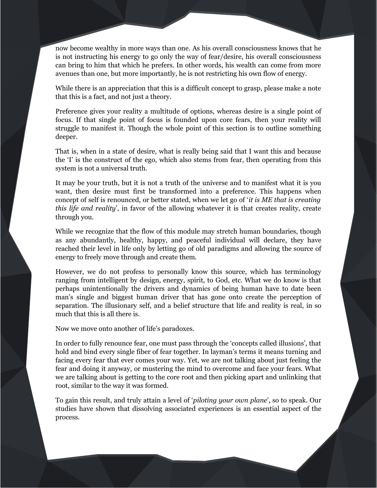now become wealthy in more ways than one. As his overall consciousness knows that he is not instructing his energy to go only the way of fear/desire, his overall consciousness can bring to him that which he prefers. In other words, his wealth can come from more avenues than one, but more importantly, he is not restricting his own flow of energy.

While there is an appreciation that this is a difficult concept to grasp, please make a note that this is a fact, and not just a theory.

Preference gives your reality a multitude of options, whereas desire is a single point of focus. If that single point of focus is founded upon core fears, then your reality will struggle to manifest it. Though the whole point of this section is to outline something deeper.

That is, when in a state of desire, what is really being said that I want this and because the 'I' is the construct of the ego, which also stems from fear, then operating from this system is not a universal truth.

It may be your truth, but it is not a truth of the universe and to manifest what it is you want, then desire must first be transformed into a preference. This happens when concept of self is renounced, or better stated, when we let go of '*it is ME that is creating this life and reality*', in favor of the allowing whatever it is that creates reality, create through you.

While we recognize that the flow of this module may stretch human boundaries, though as any abundantly, healthy, happy, and peaceful individual will declare, they have reached their level in life only by letting go of old paradigms and allowing the source of energy to freely move through and create them.

However, we do not profess to personally know this source, which has terminology ranging from intelligent by design, energy, spirit, to God, etc. What we do know is that perhaps unintentionally the drivers and dynamics of being human have to date been man's single and biggest human driver that has gone onto create the perception of separation. The illusionary self, and a belief structure that life and reality is real, in so much that this is all there is.

Now we move onto another of life's paradoxes.

In order to fully renounce fear, one must pass through the 'concepts called illusions', that hold and bind every single fiber of fear together. In layman's terms it means turning and facing every fear that ever comes your way. Yet, we are not talking about just feeling the fear and doing it anyway, or mustering the mind to overcome and face your fears. What we are talking about is getting to the core root and then picking apart and unlinking that root, similar to the way it was formed.

To gain this result, and truly attain a level of '*piloting your own plane*', so to speak. Our studies have shown that dissolving associated experiences is an essential aspect of the process.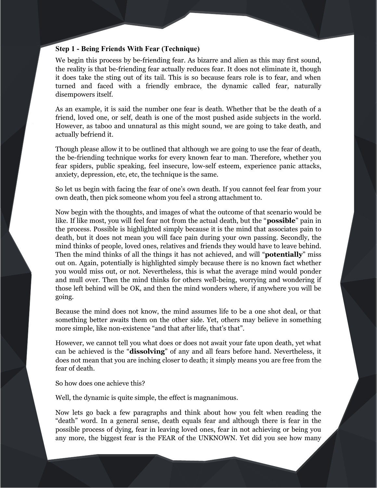# **Step 1 - Being Friends With Fear (Technique)**

We begin this process by be-friending fear. As bizarre and alien as this may first sound, the reality is that be-friending fear actually reduces fear. It does not eliminate it, though it does take the sting out of its tail. This is so because fears role is to fear, and when turned and faced with a friendly embrace, the dynamic called fear, naturally disempowers itself.

As an example, it is said the number one fear is death. Whether that be the death of a friend, loved one, or self, death is one of the most pushed aside subjects in the world. However, as taboo and unnatural as this might sound, we are going to take death, and actually befriend it.

Though please allow it to be outlined that although we are going to use the fear of death, the be-friending technique works for every known fear to man. Therefore, whether you fear spiders, public speaking, feel insecure, low-self esteem, experience panic attacks, anxiety, depression, etc, etc, the technique is the same.

So let us begin with facing the fear of one's own death. If you cannot feel fear from your own death, then pick someone whom you feel a strong attachment to.

Now begin with the thoughts, and images of what the outcome of that scenario would be like. If like most, you will feel fear not from the actual death, but the "**possible**" pain in the process. Possible is highlighted simply because it is the mind that associates pain to death, but it does not mean you will face pain during your own passing. Secondly, the mind thinks of people, loved ones, relatives and friends they would have to leave behind. Then the mind thinks of all the things it has not achieved, and will "**potentially**" miss out on. Again, potentially is highlighted simply because there is no known fact whether you would miss out, or not. Nevertheless, this is what the average mind would ponder and mull over. Then the mind thinks for others well-being, worrying and wondering if those left behind will be OK, and then the mind wonders where, if anywhere you will be going.

Because the mind does not know, the mind assumes life to be a one shot deal, or that something better awaits them on the other side. Yet, others may believe in something more simple, like non-existence "and that after life, that's that".

However, we cannot tell you what does or does not await your fate upon death, yet what can be achieved is the "**dissolving**" of any and all fears before hand. Nevertheless, it does not mean that you are inching closer to death; it simply means you are free from the fear of death.

So how does one achieve this?

Well, the dynamic is quite simple, the effect is magnanimous.

Now lets go back a few paragraphs and think about how you felt when reading the "death" word. In a general sense, death equals fear and although there is fear in the possible process of dying, fear in leaving loved ones, fear in not achieving or being you any more, the biggest fear is the FEAR of the UNKNOWN. Yet did you see how many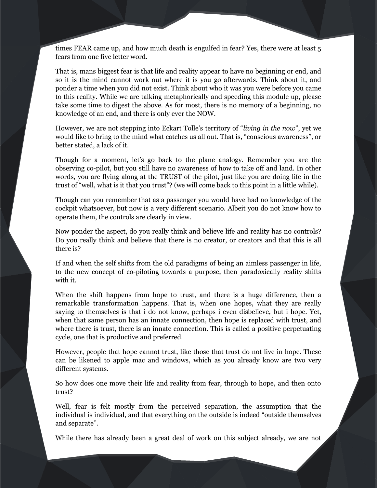times FEAR came up, and how much death is engulfed in fear? Yes, there were at least 5 fears from one five letter word.

That is, mans biggest fear is that life and reality appear to have no beginning or end, and so it is the mind cannot work out where it is you go afterwards. Think about it, and ponder a time when you did not exist. Think about who it was you were before you came to this reality. While we are talking metaphorically and speeding this module up, please take some time to digest the above. As for most, there is no memory of a beginning, no knowledge of an end, and there is only ever the NOW.

However, we are not stepping into Eckart Tolle's territory of "*living in the now*", yet we would like to bring to the mind what catches us all out. That is, "conscious awareness", or better stated, a lack of it.

Though for a moment, let's go back to the plane analogy. Remember you are the observing co-pilot, but you still have no awareness of how to take off and land. In other words, you are flying along at the TRUST of the pilot, just like you are doing life in the trust of "well, what is it that you trust"? (we will come back to this point in a little while).

Though can you remember that as a passenger you would have had no knowledge of the cockpit whatsoever, but now is a very different scenario. Albeit you do not know how to operate them, the controls are clearly in view.

Now ponder the aspect, do you really think and believe life and reality has no controls? Do you really think and believe that there is no creator, or creators and that this is all there is?

If and when the self shifts from the old paradigms of being an aimless passenger in life, to the new concept of co-piloting towards a purpose, then paradoxically reality shifts with it.

When the shift happens from hope to trust, and there is a huge difference, then a remarkable transformation happens. That is, when one hopes, what they are really saying to themselves is that i do not know, perhaps i even disbelieve, but i hope. Yet, when that same person has an innate connection, then hope is replaced with trust, and where there is trust, there is an innate connection. This is called a positive perpetuating cycle, one that is productive and preferred.

However, people that hope cannot trust, like those that trust do not live in hope. These can be likened to apple mac and windows, which as you already know are two very different systems.

So how does one move their life and reality from fear, through to hope, and then onto trust?

Well, fear is felt mostly from the perceived separation, the assumption that the individual is individual, and that everything on the outside is indeed "outside themselves and separate".

While there has already been a great deal of work on this subject already, we are not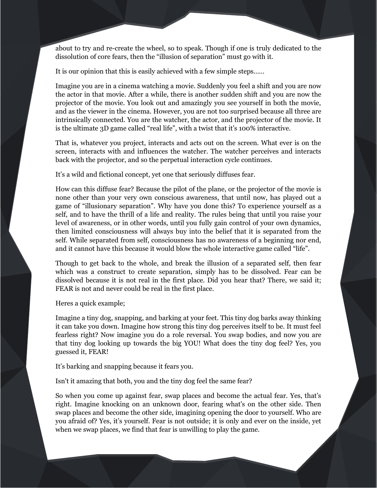about to try and re-create the wheel, so to speak. Though if one is truly dedicated to the dissolution of core fears, then the "illusion of separation" must go with it.

It is our opinion that this is easily achieved with a few simple steps……

Imagine you are in a cinema watching a movie. Suddenly you feel a shift and you are now the actor in that movie. After a while, there is another sudden shift and you are now the projector of the movie. You look out and amazingly you see yourself in both the movie, and as the viewer in the cinema. However, you are not too surprised because all three are intrinsically connected. You are the watcher, the actor, and the projector of the movie. It is the ultimate 3D game called "real life", with a twist that it's 100% interactive.

That is, whatever you project, interacts and acts out on the screen. What ever is on the screen, interacts with and influences the watcher. The watcher perceives and interacts back with the projector, and so the perpetual interaction cycle continues.

It's a wild and fictional concept, yet one that seriously diffuses fear.

How can this diffuse fear? Because the pilot of the plane, or the projector of the movie is none other than your very own conscious awareness, that until now, has played out a game of "illusionary separation". Why have you done this? To experience yourself as a self, and to have the thrill of a life and reality. The rules being that until you raise your level of awareness, or in other words, until you fully gain control of your own dynamics, then limited consciousness will always buy into the belief that it is separated from the self. While separated from self, consciousness has no awareness of a beginning nor end, and it cannot have this because it would blow the whole interactive game called "life".

Though to get back to the whole, and break the illusion of a separated self, then fear which was a construct to create separation, simply has to be dissolved. Fear can be dissolved because it is not real in the first place. Did you hear that? There, we said it; FEAR is not and never could be real in the first place.

Heres a quick example;

Imagine a tiny dog, snapping, and barking at your feet. This tiny dog barks away thinking it can take you down. Imagine how strong this tiny dog perceives itself to be. It must feel fearless right? Now imagine you do a role reversal. You swap bodies, and now you are that tiny dog looking up towards the big YOU! What does the tiny dog feel? Yes, you guessed it, FEAR!

It's barking and snapping because it fears you.

Isn't it amazing that both, you and the tiny dog feel the same fear?

So when you come up against fear, swap places and become the actual fear. Yes, that's right. Imagine knocking on an unknown door, fearing what's on the other side. Then swap places and become the other side, imagining opening the door to yourself. Who are you afraid of? Yes, it's yourself. Fear is not outside; it is only and ever on the inside, yet when we swap places, we find that fear is unwilling to play the game.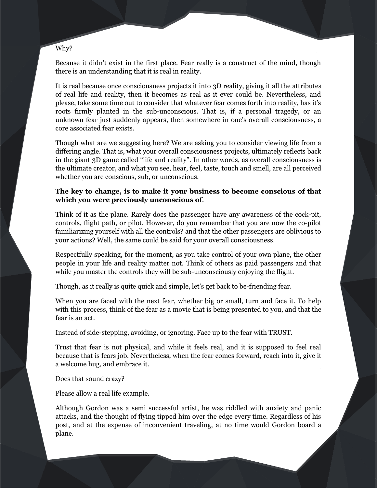## Why?

Because it didn't exist in the first place. Fear really is a construct of the mind, though there is an understanding that it is real in reality.

It is real because once consciousness projects it into 3D reality, giving it all the attributes of real life and reality, then it becomes as real as it ever could be. Nevertheless, and please, take some time out to consider that whatever fear comes forth into reality, has it's roots firmly planted in the sub-unconscious. That is, if a personal tragedy, or an unknown fear just suddenly appears, then somewhere in one's overall consciousness, a core associated fear exists.

Though what are we suggesting here? We are asking you to consider viewing life from a differing angle. That is, what your overall consciousness projects, ultimately reflects back in the giant 3D game called "life and reality". In other words, as overall consciousness is the ultimate creator, and what you see, hear, feel, taste, touch and smell, are all perceived whether you are conscious, sub, or unconscious.

# **The key to change, is to make it your business to become conscious of that which you were previously unconscious of**.

Think of it as the plane. Rarely does the passenger have any awareness of the cock-pit, controls, flight path, or pilot. However, do you remember that you are now the co-pilot familiarizing yourself with all the controls? and that the other passengers are oblivious to your actions? Well, the same could be said for your overall consciousness.

Respectfully speaking, for the moment, as you take control of your own plane, the other people in your life and reality matter not. Think of others as paid passengers and that while you master the controls they will be sub-unconsciously enjoying the flight.

Though, as it really is quite quick and simple, let's get back to be-friending fear.

When you are faced with the next fear, whether big or small, turn and face it. To help with this process, think of the fear as a movie that is being presented to you, and that the fear is an act.

Instead of side-stepping, avoiding, or ignoring. Face up to the fear with TRUST.

Trust that fear is not physical, and while it feels real, and it is supposed to feel real because that is fears job. Nevertheless, when the fear comes forward, reach into it, give it a welcome hug, and embrace it.

Does that sound crazy?

Please allow a real life example.

Although Gordon was a semi successful artist, he was riddled with anxiety and panic attacks, and the thought of flying tipped him over the edge every time. Regardless of his post, and at the expense of inconvenient traveling, at no time would Gordon board a plane.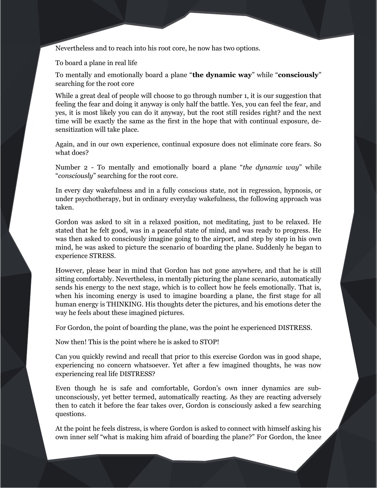Nevertheless and to reach into his root core, he now has two options.

To board a plane in real life

To mentally and emotionally board a plane "**the dynamic way**" while "**consciously**" searching for the root core

While a great deal of people will choose to go through number 1, it is our suggestion that feeling the fear and doing it anyway is only half the battle. Yes, you can feel the fear, and yes, it is most likely you can do it anyway, but the root still resides right? and the next time will be exactly the same as the first in the hope that with continual exposure, desensitization will take place.

Again, and in our own experience, continual exposure does not eliminate core fears. So what does?

Number 2 - To mentally and emotionally board a plane "*the dynamic way*" while "*consciously*" searching for the root core.

In every day wakefulness and in a fully conscious state, not in regression, hypnosis, or under psychotherapy, but in ordinary everyday wakefulness, the following approach was taken.

Gordon was asked to sit in a relaxed position, not meditating, just to be relaxed. He stated that he felt good, was in a peaceful state of mind, and was ready to progress. He was then asked to consciously imagine going to the airport, and step by step in his own mind, he was asked to picture the scenario of boarding the plane. Suddenly he began to experience STRESS.

However, please bear in mind that Gordon has not gone anywhere, and that he is still sitting comfortably. Nevertheless, in mentally picturing the plane scenario, automatically sends his energy to the next stage, which is to collect how he feels emotionally. That is, when his incoming energy is used to imagine boarding a plane, the first stage for all human energy is THINKING. His thoughts deter the pictures, and his emotions deter the way he feels about these imagined pictures.

For Gordon, the point of boarding the plane, was the point he experienced DISTRESS.

Now then! This is the point where he is asked to STOP!

Can you quickly rewind and recall that prior to this exercise Gordon was in good shape, experiencing no concern whatsoever. Yet after a few imagined thoughts, he was now experiencing real life DISTRESS?

Even though he is safe and comfortable, Gordon's own inner dynamics are subunconsciously, yet better termed, automatically reacting. As they are reacting adversely then to catch it before the fear takes over, Gordon is consciously asked a few searching questions.

At the point he feels distress, is where Gordon is asked to connect with himself asking his own inner self "what is making him afraid of boarding the plane?" For Gordon, the knee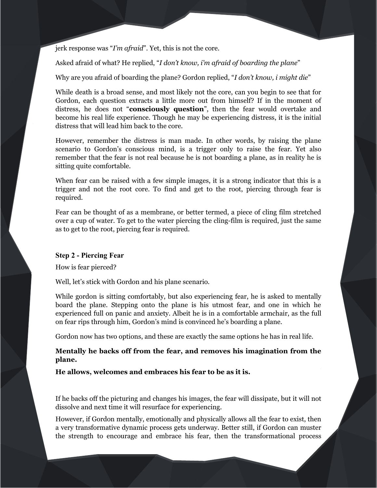jerk response was "*I'm afraid*". Yet, this is not the core.

Asked afraid of what? He replied, "*I don't know, i'm afraid of boarding the plane*"

Why are you afraid of boarding the plane? Gordon replied, "*I don't know, i might die*"

While death is a broad sense, and most likely not the core, can you begin to see that for Gordon, each question extracts a little more out from himself? If in the moment of distress, he does not "**consciously question**", then the fear would overtake and become his real life experience. Though he may be experiencing distress, it is the initial distress that will lead him back to the core.

However, remember the distress is man made. In other words, by raising the plane scenario to Gordon's conscious mind, is a trigger only to raise the fear. Yet also remember that the fear is not real because he is not boarding a plane, as in reality he is sitting quite comfortable.

When fear can be raised with a few simple images, it is a strong indicator that this is a trigger and not the root core. To find and get to the root, piercing through fear is required.

Fear can be thought of as a membrane, or better termed, a piece of cling film stretched over a cup of water. To get to the water piercing the cling-film is required, just the same as to get to the root, piercing fear is required.

# **Step 2 - Piercing Fear**

How is fear pierced?

Well, let's stick with Gordon and his plane scenario.

While gordon is sitting comfortably, but also experiencing fear, he is asked to mentally board the plane. Stepping onto the plane is his utmost fear, and one in which he experienced full on panic and anxiety. Albeit he is in a comfortable armchair, as the full on fear rips through him, Gordon's mind is convinced he's boarding a plane.

Gordon now has two options, and these are exactly the same options he has in real life.

**Mentally he backs off from the fear, and removes his imagination from the plane.**

**He allows, welcomes and embraces his fear to be as it is.** 

If he backs off the picturing and changes his images, the fear will dissipate, but it will not dissolve and next time it will resurface for experiencing.

However, if Gordon mentally, emotionally and physically allows all the fear to exist, then a very transformative dynamic process gets underway. Better still, if Gordon can muster the strength to encourage and embrace his fear, then the transformational process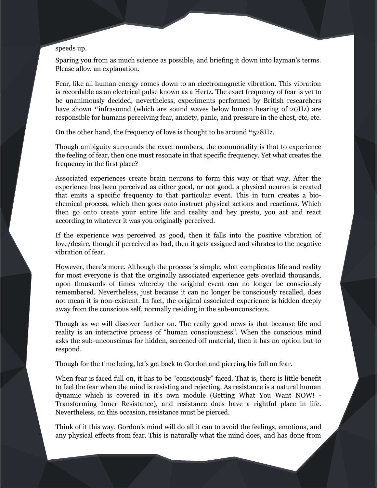## speeds up.

Sparing you from as much science as possible, and briefing it down into layman's terms. Please allow an explanation.

Fear, like all human energy comes down to an electromagnetic vibration. This vibration is recordable as an electrical pulse known as a Hertz. The exact frequency of fear is yet to be unanimously decided, nevertheless, experiments performed by British researchers haveshown <sup>13</sup>infrasound (which are sound waves below human hearing of 20Hz) are responsible for humans perceiving fear, anxiety, panic, and pressure in the chest, etc, etc.

On the other hand, the frequency of love is thought to be around <sup>[14](#page-64-2)</sup>528Hz.

Though ambiguity surrounds the exact numbers, the commonality is that to experience the feeling of fear, then one must resonate in that specific frequency. Yet what creates the frequency in the first place?

Associated experiences create brain neurons to form this way or that way. After the experience has been perceived as either good, or not good, a physical neuron is created that emits a specific frequency to that particular event. This in turn creates a biochemical process, which then goes onto instruct physical actions and reactions. Which then go onto create your entire life and reality and hey presto, you act and react according to whatever it was you originally perceived.

If the experience was perceived as good, then it falls into the positive vibration of love/desire, though if perceived as bad, then it gets assigned and vibrates to the negative vibration of fear.

However, there's more. Although the process is simple, what complicates life and reality for most everyone is that the originally associated experience gets overlaid thousands, upon thousands of times whereby the original event can no longer be consciously remembered. Nevertheless, just because it can no longer be consciously recalled, does not mean it is non-existent. In fact, the original associated experience is hidden deeply away from the conscious self, normally residing in the sub-unconscious.

Though as we will discover further on. The really good news is that because life and reality is an interactive process of "human consciousness". When the conscious mind asks the sub-unconscious for hidden, screened off material, then it has no option but to respond.

Though for the time being, let's get back to Gordon and piercing his full on fear.

When fear is faced full on, it has to be "consciously" faced. That is, there is little benefit to feel the fear when the mind is resisting and rejecting. As resistance is a natural human dynamic which is covered in it's own module (Getting What You Want NOW! - Transforming Inner Resistance), and resistance does have a rightful place in life. Nevertheless, on this occasion, resistance must be pierced.

Think of it this way. Gordon's mind will do all it can to avoid the feelings, emotions, and any physical effects from fear. This is naturally what the mind does, and has done from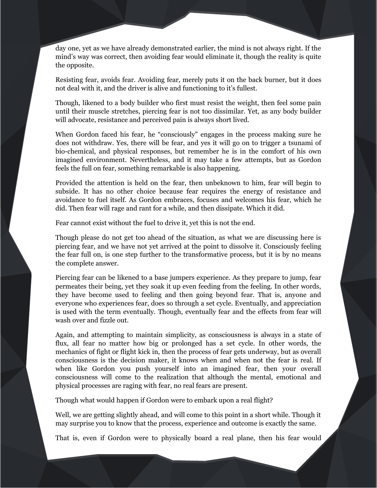day one, yet as we have already demonstrated earlier, the mind is not always right. If the mind's way was correct, then avoiding fear would eliminate it, though the reality is quite the opposite.

Resisting fear, avoids fear. Avoiding fear, merely puts it on the back burner, but it does not deal with it, and the driver is alive and functioning to it's fullest.

Though, likened to a body builder who first must resist the weight, then feel some pain until their muscle stretches, piercing fear is not too dissimilar. Yet, as any body builder will advocate, resistance and perceived pain is always short lived.

When Gordon faced his fear, he "consciously" engages in the process making sure he does not withdraw. Yes, there will be fear, and yes it will go on to trigger a tsunami of bio-chemical, and physical responses, but remember he is in the comfort of his own imagined environment. Nevertheless, and it may take a few attempts, but as Gordon feels the full on fear, something remarkable is also happening.

Provided the attention is held on the fear, then unbeknown to him, fear will begin to subside. It has no other choice because fear requires the energy of resistance and avoidance to fuel itself. As Gordon embraces, focuses and welcomes his fear, which he did. Then fear will rage and rant for a while, and then dissipate. Which it did.

Fear cannot exist without the fuel to drive it, yet this is not the end.

Though please do not get too ahead of the situation, as what we are discussing here is piercing fear, and we have not yet arrived at the point to dissolve it. Consciously feeling the fear full on, is one step further to the transformative process, but it is by no means the complete answer.

Piercing fear can be likened to a base jumpers experience. As they prepare to jump, fear permeates their being, yet they soak it up even feeding from the feeling. In other words, they have become used to feeling and then going beyond fear. That is, anyone and everyone who experiences fear, does so through a set cycle. Eventually, and appreciation is used with the term eventually. Though, eventually fear and the effects from fear will wash over and fizzle out.

Again, and attempting to maintain simplicity, as consciousness is always in a state of flux, all fear no matter how big or prolonged has a set cycle. In other words, the mechanics of fight or flight kick in, then the process of fear gets underway, but as overall consciousness is the decision maker, it knows when and when not the fear is real. If when like Gordon you push yourself into an imagined fear, then your overall consciousness will come to the realization that although the mental, emotional and physical processes are raging with fear, no real fears are present.

Though what would happen if Gordon were to embark upon a real flight?

Well, we are getting slightly ahead, and will come to this point in a short while. Though it may surprise you to know that the process, experience and outcome is exactly the same.

That is, even if Gordon were to physically board a real plane, then his fear would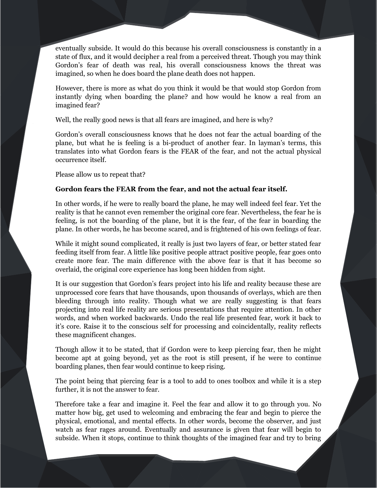eventually subside. It would do this because his overall consciousness is constantly in a state of flux, and it would decipher a real from a perceived threat. Though you may think Gordon's fear of death was real, his overall consciousness knows the threat was imagined, so when he does board the plane death does not happen.

However, there is more as what do you think it would be that would stop Gordon from instantly dying when boarding the plane? and how would he know a real from an imagined fear?

Well, the really good news is that all fears are imagined, and here is why?

Gordon's overall consciousness knows that he does not fear the actual boarding of the plane, but what he is feeling is a bi-product of another fear. In layman's terms, this translates into what Gordon fears is the FEAR of the fear, and not the actual physical occurrence itself.

Please allow us to repeat that?

# **Gordon fears the FEAR from the fear, and not the actual fear itself.**

In other words, if he were to really board the plane, he may well indeed feel fear. Yet the reality is that he cannot even remember the original core fear. Nevertheless, the fear he is feeling, is not the boarding of the plane, but it is the fear, of the fear in boarding the plane. In other words, he has become scared, and is frightened of his own feelings of fear.

While it might sound complicated, it really is just two layers of fear, or better stated fear feeding itself from fear. A little like positive people attract positive people, fear goes onto create more fear. The main difference with the above fear is that it has become so overlaid, the original core experience has long been hidden from sight.

It is our suggestion that Gordon's fears project into his life and reality because these are unprocessed core fears that have thousands, upon thousands of overlays, which are then bleeding through into reality. Though what we are really suggesting is that fears projecting into real life reality are serious presentations that require attention. In other words, and when worked backwards. Undo the real life presented fear, work it back to it's core. Raise it to the conscious self for processing and coincidentally, reality reflects these magnificent changes.

Though allow it to be stated, that if Gordon were to keep piercing fear, then he might become apt at going beyond, yet as the root is still present, if he were to continue boarding planes, then fear would continue to keep rising.

The point being that piercing fear is a tool to add to ones toolbox and while it is a step further, it is not the answer to fear.

Therefore take a fear and imagine it. Feel the fear and allow it to go through you. No matter how big, get used to welcoming and embracing the fear and begin to pierce the physical, emotional, and mental effects. In other words, become the observer, and just watch as fear rages around. Eventually and assurance is given that fear will begin to subside. When it stops, continue to think thoughts of the imagined fear and try to bring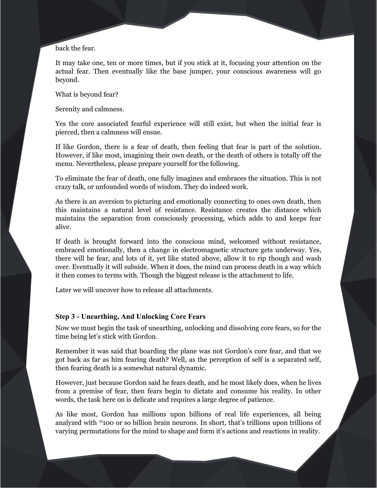back the fear.

It may take one, ten or more times, but if you stick at it, focusing your attention on the actual fear. Then eventually like the base jumper, your conscious awareness will go beyond.

What is beyond fear?

Serenity and calmness.

Yes the core associated fearful experience will still exist, but when the initial fear is pierced, then a calmness will ensue.

If like Gordon, there is a fear of death, then feeling that fear is part of the solution. However, if like most, imagining their own death, or the death of others is totally off the menu. Nevertheless, please prepare yourself for the following.

To eliminate the fear of death, one fully imagines and embraces the situation. This is not crazy talk, or unfounded words of wisdom. They do indeed work.

As there is an aversion to picturing and emotionally connecting to ones own death, then this maintains a natural level of resistance. Resistance creates the distance which maintains the separation from consciously processing, which adds to and keeps fear alive.

If death is brought forward into the conscious mind, welcomed without resistance, embraced emotionally, then a change in electromagnetic structure gets underway. Yes, there will be fear, and lots of it, yet like stated above, allow it to rip though and wash over. Eventually it will subside. When it does, the mind can process death in a way which it then comes to terms with. Though the biggest release is the attachment to life.

Later we will uncover how to release all attachments.

## **Step 3 - Unearthing, And Unlocking Core Fears**

Now we must begin the task of unearthing, unlocking and dissolving core fears, so for the time being let's stick with Gordon.

Remember it was said that boarding the plane was not Gordon's core fear, and that we got back as far as him fearing death? Well, as the perception of self is a separated self, then fearing death is a somewhat natural dynamic.

However, just because Gordon said he fears death, and he most likely does, when he lives from a premise of fear, then fears begin to dictate and consume his reality. In other words, the task here on is delicate and requires a large degree of patience.

As like most, Gordon has millions upon billions of real life experiences, all being analyzed with [15](#page-64-3)100 or so billion brain neurons. In short, that's trillions upon trillions of varying permutations for the mind to shape and form it's actions and reactions in reality.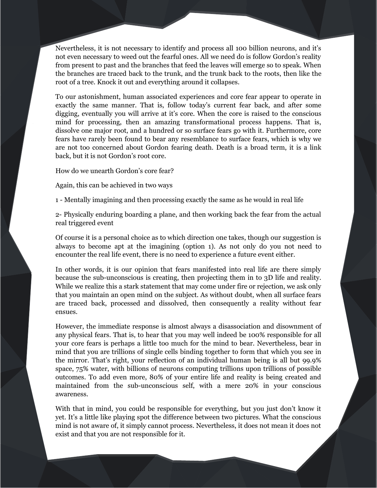Nevertheless, it is not necessary to identify and process all 100 billion neurons, and it's not even necessary to weed out the fearful ones. All we need do is follow Gordon's reality from present to past and the branches that feed the leaves will emerge so to speak. When the branches are traced back to the trunk, and the trunk back to the roots, then like the root of a tree. Knock it out and everything around it collapses.

To our astonishment, human associated experiences and core fear appear to operate in exactly the same manner. That is, follow today's current fear back, and after some digging, eventually you will arrive at it's core. When the core is raised to the conscious mind for processing, then an amazing transformational process happens. That is, dissolve one major root, and a hundred or so surface fears go with it. Furthermore, core fears have rarely been found to bear any resemblance to surface fears, which is why we are not too concerned about Gordon fearing death. Death is a broad term, it is a link back, but it is not Gordon's root core.

How do we unearth Gordon's core fear?

Again, this can be achieved in two ways

1 - Mentally imagining and then processing exactly the same as he would in real life

2- Physically enduring boarding a plane, and then working back the fear from the actual real triggered event

Of course it is a personal choice as to which direction one takes, though our suggestion is always to become apt at the imagining (option 1). As not only do you not need to encounter the real life event, there is no need to experience a future event either.

In other words, it is our opinion that fears manifested into real life are there simply because the sub-unconscious is creating, then projecting them in to 3D life and reality. While we realize this a stark statement that may come under fire or rejection, we ask only that you maintain an open mind on the subject. As without doubt, when all surface fears are traced back, processed and dissolved, then consequently a reality without fear ensues.

However, the immediate response is almost always a disassociation and disownment of any physical fears. That is, to hear that you may well indeed be 100% responsible for all your core fears is perhaps a little too much for the mind to bear. Nevertheless, bear in mind that you are trillions of single cells binding together to form that which you see in the mirror. That's right, your reflection of an individual human being is all but 99.9% space, 75% water, with billions of neurons computing trillions upon trillions of possible outcomes. To add even more, 80% of your entire life and reality is being created and maintained from the sub-unconscious self, with a mere 20% in your conscious awareness.

With that in mind, you could be responsible for everything, but you just don't know it yet. It's a little like playing spot the difference between two pictures. What the conscious mind is not aware of, it simply cannot process. Nevertheless, it does not mean it does not exist and that you are not responsible for it.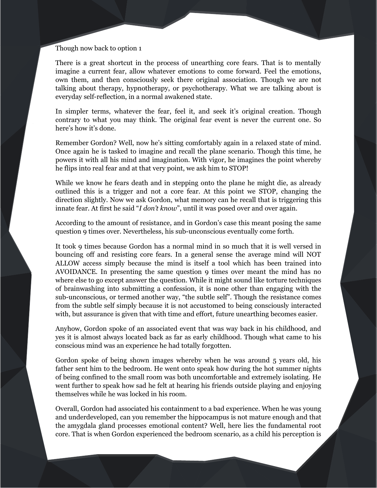## Though now back to option 1

There is a great shortcut in the process of unearthing core fears. That is to mentally imagine a current fear, allow whatever emotions to come forward. Feel the emotions, own them, and then consciously seek there original association. Though we are not talking about therapy, hypnotherapy, or psychotherapy. What we are talking about is everyday self-reflection, in a normal awakened state.

In simpler terms, whatever the fear, feel it, and seek it's original creation. Though contrary to what you may think. The original fear event is never the current one. So here's how it's done.

Remember Gordon? Well, now he's sitting comfortably again in a relaxed state of mind. Once again he is tasked to imagine and recall the plane scenario. Though this time, he powers it with all his mind and imagination. With vigor, he imagines the point whereby he flips into real fear and at that very point, we ask him to STOP!

While we know he fears death and in stepping onto the plane he might die, as already outlined this is a trigger and not a core fear. At this point we STOP, changing the direction slightly. Now we ask Gordon, what memory can he recall that is triggering this innate fear. At first he said "*I don't know*", until it was posed over and over again.

According to the amount of resistance, and in Gordon's case this meant posing the same question 9 times over. Nevertheless, his sub-unconscious eventually come forth.

It took 9 times because Gordon has a normal mind in so much that it is well versed in bouncing off and resisting core fears. In a general sense the average mind will NOT ALLOW access simply because the mind is itself a tool which has been trained into AVOIDANCE. In presenting the same question 9 times over meant the mind has no where else to go except answer the question. While it might sound like torture techniques of brainwashing into submitting a confession, it is none other than engaging with the sub-unconscious, or termed another way, "the subtle self". Though the resistance comes from the subtle self simply because it is not accustomed to being consciously interacted with, but assurance is given that with time and effort, future unearthing becomes easier.

Anyhow, Gordon spoke of an associated event that was way back in his childhood, and yes it is almost always located back as far as early childhood. Though what came to his conscious mind was an experience he had totally forgotten.

Gordon spoke of being shown images whereby when he was around 5 years old, his father sent him to the bedroom. He went onto speak how during the hot summer nights of being confined to the small room was both uncomfortable and extremely isolating. He went further to speak how sad he felt at hearing his friends outside playing and enjoying themselves while he was locked in his room.

Overall, Gordon had associated his containment to a bad experience. When he was young and underdeveloped, can you remember the hippocampus is not mature enough and that the amygdala gland processes emotional content? Well, here lies the fundamental root core. That is when Gordon experienced the bedroom scenario, as a child his perception is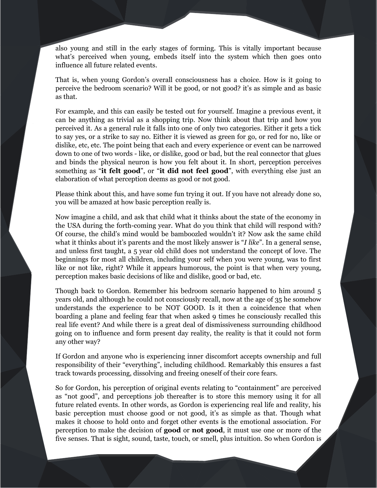also young and still in the early stages of forming. This is vitally important because what's perceived when young, embeds itself into the system which then goes onto influence all future related events.

That is, when young Gordon's overall consciousness has a choice. How is it going to perceive the bedroom scenario? Will it be good, or not good? it's as simple and as basic as that.

For example, and this can easily be tested out for yourself. Imagine a previous event, it can be anything as trivial as a shopping trip. Now think about that trip and how you perceived it. As a general rule it falls into one of only two categories. Either it gets a tick to say yes, or a strike to say no. Either it is viewed as green for go, or red for no, like or dislike, etc, etc. The point being that each and every experience or event can be narrowed down to one of two words - like, or dislike, good or bad, but the real connector that glues and binds the physical neuron is how you felt about it. In short, perception perceives something as "**it felt good**", or "**it did not feel good**", with everything else just an elaboration of what perception deems as good or not good.

Please think about this, and have some fun trying it out. If you have not already done so, you will be amazed at how basic perception really is.

Now imagine a child, and ask that child what it thinks about the state of the economy in the USA during the forth-coming year. What do you think that child will respond with? Of course, the child's mind would be bamboozled wouldn't it? Now ask the same child what it thinks about it's parents and the most likely answer is "*I like*". In a general sense, and unless first taught, a 5 year old child does not understand the concept of love. The beginnings for most all children, including your self when you were young, was to first like or not like, right? While it appears humorous, the point is that when very young, perception makes basic decisions of like and dislike, good or bad, etc.

Though back to Gordon. Remember his bedroom scenario happened to him around 5 years old, and although he could not consciously recall, now at the age of 35 he somehow understands the experience to be NOT GOOD. Is it then a coincidence that when boarding a plane and feeling fear that when asked 9 times he consciously recalled this real life event? And while there is a great deal of dismissiveness surrounding childhood going on to influence and form present day reality, the reality is that it could not form any other way?

If Gordon and anyone who is experiencing inner discomfort accepts ownership and full responsibility of their "everything", including childhood. Remarkably this ensures a fast track towards processing, dissolving and freeing oneself of their core fears.

So for Gordon, his perception of original events relating to "containment" are perceived as "not good", and perceptions job thereafter is to store this memory using it for all future related events. In other words, as Gordon is experiencing real life and reality, his basic perception must choose good or not good, it's as simple as that. Though what makes it choose to hold onto and forget other events is the emotional association. For perception to make the decision of **good** or **not good**, it must use one or more of the five senses. That is sight, sound, taste, touch, or smell, plus intuition. So when Gordon is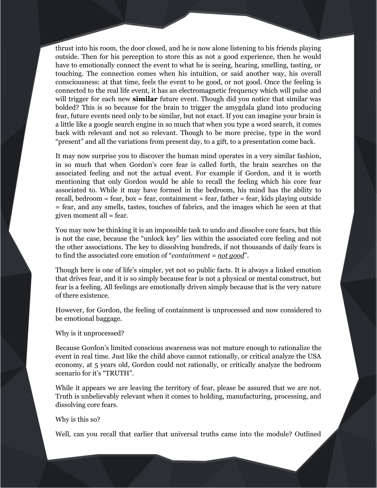thrust into his room, the door closed, and he is now alone listening to his friends playing outside. Then for his perception to store this as not a good experience, then he would have to emotionally connect the event to what he is seeing, hearing, smelling, tasting, or touching. The connection comes when his intuition, or said another way, his overall consciousness: at that time, feels the event to be good, or not good. Once the feeling is connected to the real life event, it has an electromagnetic frequency which will pulse and will trigger for each new **similar** future event. Though did you notice that similar was bolded? This is so because for the brain to trigger the amygdala gland into producing fear, future events need only to be similar, but not exact. If you can imagine your brain is a little like a google search engine in so much that when you type a word search, it comes back with relevant and not so relevant. Though to be more precise, type in the word "present" and all the variations from present day, to a gift, to a presentation come back.

It may now surprise you to discover the human mind operates in a very similar fashion, in so much that when Gordon's core fear is called forth, the brain searches on the associated feeling and not the actual event. For example if Gordon, and it is worth mentioning that only Gordon would be able to recall the feeling which his core fear associated to. While it may have formed in the bedroom, his mind has the ability to recall, bedroom  $=$  fear, box  $=$  fear, containment  $=$  fear, father  $=$  fear, kids playing outside = fear, and any smells, tastes, touches of fabrics, and the images which he seen at that given moment all = fear.

You may now be thinking it is an impossible task to undo and dissolve core fears, but this is not the case, because the "unlock key" lies within the associated core feeling and not the other associations. The key to dissolving hundreds, if not thousands of daily fears is to find the associated core emotion of "*containment = not good*".

Though here is one of life's simpler, yet not so public facts. It is always a linked emotion that drives fear, and it is so simply because fear is not a physical or mental construct, but fear is a feeling. All feelings are emotionally driven simply because that is the very nature of there existence.

However, for Gordon, the feeling of containment is unprocessed and now considered to be emotional baggage.

#### Why is it unprocessed?

Because Gordon's limited conscious awareness was not mature enough to rationalize the event in real time. Just like the child above cannot rationally, or critical analyze the USA economy, at 5 years old, Gordon could not rationally, or critically analyze the bedroom scenario for it's "TRUTH".

While it appears we are leaving the territory of fear, please be assured that we are not. Truth is unbelievably relevant when it comes to holding, manufacturing, processing, and dissolving core fears.

## Why is this so?

Well, can you recall that earlier that universal truths came into the module? Outlined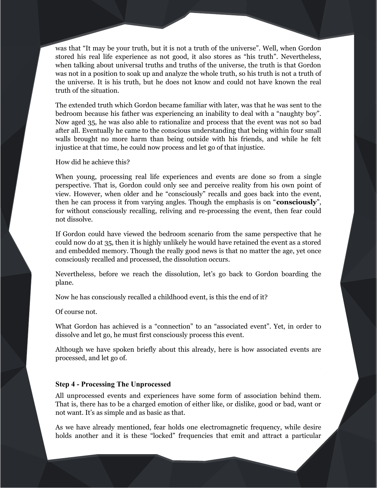was that "It may be your truth, but it is not a truth of the universe". Well, when Gordon stored his real life experience as not good, it also stores as "his truth". Nevertheless, when talking about universal truths and truths of the universe, the truth is that Gordon was not in a position to soak up and analyze the whole truth, so his truth is not a truth of the universe. It is his truth, but he does not know and could not have known the real truth of the situation.

The extended truth which Gordon became familiar with later, was that he was sent to the bedroom because his father was experiencing an inability to deal with a "naughty boy". Now aged 35, he was also able to rationalize and process that the event was not so bad after all. Eventually he came to the conscious understanding that being within four small walls brought no more harm than being outside with his friends, and while he felt injustice at that time, he could now process and let go of that injustice.

How did he achieve this?

When young, processing real life experiences and events are done so from a single perspective. That is, Gordon could only see and perceive reality from his own point of view. However, when older and he "consciously" recalls and goes back into the event, then he can process it from varying angles. Though the emphasis is on "**consciously**", for without consciously recalling, reliving and re-processing the event, then fear could not dissolve.

If Gordon could have viewed the bedroom scenario from the same perspective that he could now do at 35, then it is highly unlikely he would have retained the event as a stored and embedded memory. Though the really good news is that no matter the age, yet once consciously recalled and processed, the dissolution occurs.

Nevertheless, before we reach the dissolution, let's go back to Gordon boarding the plane.

Now he has consciously recalled a childhood event, is this the end of it?

Of course not.

What Gordon has achieved is a "connection" to an "associated event". Yet, in order to dissolve and let go, he must first consciously process this event.

Although we have spoken briefly about this already, here is how associated events are processed, and let go of.

# **Step 4 - Processing The Unprocessed**

All unprocessed events and experiences have some form of association behind them. That is, there has to be a charged emotion of either like, or dislike, good or bad, want or not want. It's as simple and as basic as that.

As we have already mentioned, fear holds one electromagnetic frequency, while desire holds another and it is these "locked" frequencies that emit and attract a particular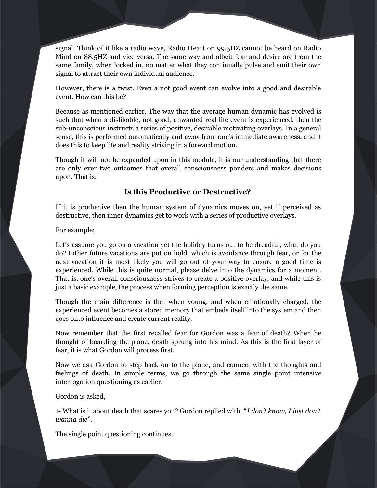signal. Think of it like a radio wave, Radio Heart on 99.5HZ cannot be heard on Radio Mind on 88.5HZ and vice versa. The same way and albeit fear and desire are from the same family, when locked in, no matter what they continually pulse and emit their own signal to attract their own individual audience.

However, there is a twist. Even a not good event can evolve into a good and desirable event. How can this be?

Because as mentioned earlier. The way that the average human dynamic has evolved is such that when a dislikable, not good, unwanted real life event is experienced, then the sub-unconscious instructs a series of positive, desirable motivating overlays. In a general sense, this is performed automatically and away from one's immediate awareness, and it does this to keep life and reality striving in a forward motion.

Though it will not be expanded upon in this module, it is our understanding that there are only ever two outcomes that overall consciousness ponders and makes decisions upon. That is;

# **Is this Productive or Destructive?**

If it is productive then the human system of dynamics moves on, yet if perceived as destructive, then inner dynamics get to work with a series of productive overlays.

# For example;

Let's assume you go on a vacation yet the holiday turns out to be dreadful, what do you do? Either future vacations are put on hold, which is avoidance through fear, or for the next vacation it is most likely you will go out of your way to ensure a good time is experienced. While this is quite normal, please delve into the dynamics for a moment. That is, one's overall consciousness strives to create a positive overlay, and while this is just a basic example, the process when forming perception is exactly the same.

Though the main difference is that when young, and when emotionally charged, the experienced event becomes a stored memory that embeds itself into the system and then goes onto influence and create current reality.

Now remember that the first recalled fear for Gordon was a fear of death? When he thought of boarding the plane, death sprung into his mind. As this is the first layer of fear, it is what Gordon will process first.

Now we ask Gordon to step back on to the plane, and connect with the thoughts and feelings of death. In simple terms, we go through the same single point intensive interrogation questioning as earlier.

#### Gordon is asked,

1- What is it about death that scares you? Gordon replied with, "*I don't know, I just don't wanna die*".

The single point questioning continues.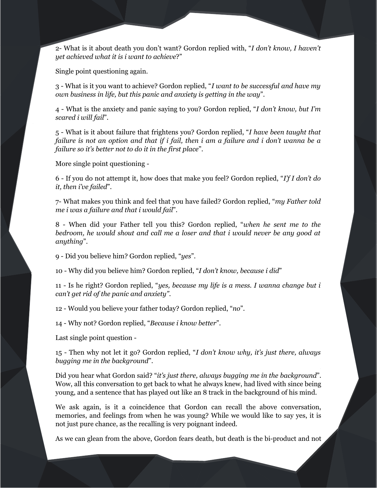2- What is it about death you don't want? Gordon replied with, "*I don't know, I haven't yet achieved what it is i want to achieve*?"

Single point questioning again.

3 - What is it you want to achieve? Gordon replied, "*I want to be successful and have my own business in life, but this panic and anxiety is getting in the way*".

4 - What is the anxiety and panic saying to you? Gordon replied, "*I don't know, but I'm scared i will fail*".

5 - What is it about failure that frightens you? Gordon replied, "*I have been taught that failure is not an option and that if i fail, then i am a failure and i don't wanna be a failure so it's better not to do it in the first place*".

More single point questioning -

6 - If you do not attempt it, how does that make you feel? Gordon replied, "*I'f I don't do it, then i've failed*".

7- What makes you think and feel that you have failed? Gordon replied, "*my Father told me i was a failure and that i would fail*".

8 - When did your Father tell you this? Gordon replied, "*when he sent me to the bedroom, he would shout and call me a loser and that i would never be any good at anything*".

9 - Did you believe him? Gordon replied, "*yes*".

10 - Why did you believe him? Gordon replied, "*I don't know, because i did*"

11 - Is he right? Gordon replied, "*yes, because my life is a mess. I wanna change but i can't get rid of the panic and anxiety"*.

12 - Would you believe your father today? Gordon replied, "*no*".

14 - Why not? Gordon replied, "*Because i know better*".

Last single point question -

15 - Then why not let it go? Gordon replied, "*I don't know why, it's just there, always bugging me in the background*".

Did you hear what Gordon said? "*it's just there, always bugging me in the background*". Wow, all this conversation to get back to what he always knew, had lived with since being young, and a sentence that has played out like an 8 track in the background of his mind.

We ask again, is it a coincidence that Gordon can recall the above conversation, memories, and feelings from when he was young? While we would like to say yes, it is not just pure chance, as the recalling is very poignant indeed.

As we can glean from the above, Gordon fears death, but death is the bi-product and not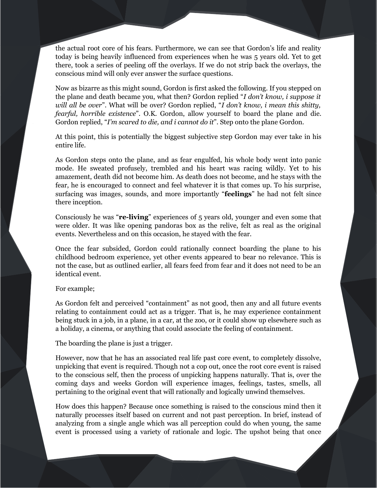the actual root core of his fears. Furthermore, we can see that Gordon's life and reality today is being heavily influenced from experiences when he was 5 years old. Yet to get there, took a series of peeling off the overlays. If we do not strip back the overlays, the conscious mind will only ever answer the surface questions.

Now as bizarre as this might sound, Gordon is first asked the following. If you stepped on the plane and death became you, what then? Gordon replied "*I don't know, i suppose it will all be over*". What will be over? Gordon replied, "*I don't know, i mean this shitty, fearful, horrible existence*". O.K. Gordon, allow yourself to board the plane and die. Gordon replied, "*I'm scared to die, and i cannot do it*". Step onto the plane Gordon.

At this point, this is potentially the biggest subjective step Gordon may ever take in his entire life.

As Gordon steps onto the plane, and as fear engulfed, his whole body went into panic mode. He sweated profusely, trembled and his heart was racing wildly. Yet to his amazement, death did not become him. As death does not become, and he stays with the fear, he is encouraged to connect and feel whatever it is that comes up. To his surprise, surfacing was images, sounds, and more importantly "**feelings**" he had not felt since there inception.

Consciously he was "**re-living**" experiences of 5 years old, younger and even some that were older. It was like opening pandoras box as the relive, felt as real as the original events. Nevertheless and on this occasion, he stayed with the fear.

Once the fear subsided, Gordon could rationally connect boarding the plane to his childhood bedroom experience, yet other events appeared to bear no relevance. This is not the case, but as outlined earlier, all fears feed from fear and it does not need to be an identical event.

# For example;

As Gordon felt and perceived "containment" as not good, then any and all future events relating to containment could act as a trigger. That is, he may experience containment being stuck in a job, in a plane, in a car, at the zoo, or it could show up elsewhere such as a holiday, a cinema, or anything that could associate the feeling of containment.

The boarding the plane is just a trigger.

However, now that he has an associated real life past core event, to completely dissolve, unpicking that event is required. Though not a cop out, once the root core event is raised to the conscious self, then the process of unpicking happens naturally. That is, over the coming days and weeks Gordon will experience images, feelings, tastes, smells, all pertaining to the original event that will rationally and logically unwind themselves.

How does this happen? Because once something is raised to the conscious mind then it naturally processes itself based on current and not past perception. In brief, instead of analyzing from a single angle which was all perception could do when young, the same event is processed using a variety of rationale and logic. The upshot being that once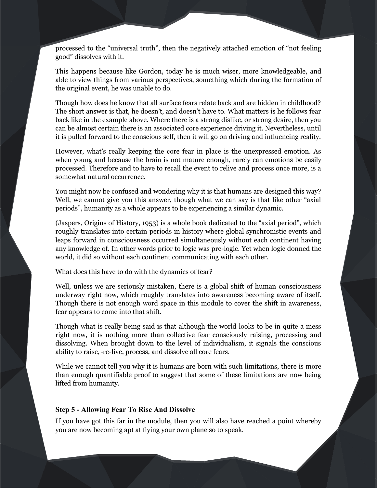processed to the "universal truth", then the negatively attached emotion of "not feeling good" dissolves with it.

This happens because like Gordon, today he is much wiser, more knowledgeable, and able to view things from various perspectives, something which during the formation of the original event, he was unable to do.

Though how does he know that all surface fears relate back and are hidden in childhood? The short answer is that, he doesn't, and doesn't have to. What matters is he follows fear back like in the example above. Where there is a strong dislike, or strong desire, then you can be almost certain there is an associated core experience driving it. Nevertheless, until it is pulled forward to the conscious self, then it will go on driving and influencing reality.

However, what's really keeping the core fear in place is the unexpressed emotion. As when young and because the brain is not mature enough, rarely can emotions be easily processed. Therefore and to have to recall the event to relive and process once more, is a somewhat natural occurrence.

You might now be confused and wondering why it is that humans are designed this way? Well, we cannot give you this answer, though what we can say is that like other "axial periods", humanity as a whole appears to be experiencing a similar dynamic.

(Jaspers, Origins of History, 1953) is a whole book dedicated to the "axial period", which roughly translates into certain periods in history where global synchronistic events and leaps forward in consciousness occurred simultaneously without each continent having any knowledge of. In other words prior to logic was pre-logic. Yet when logic donned the world, it did so without each continent communicating with each other.

What does this have to do with the dynamics of fear?

Well, unless we are seriously mistaken, there is a global shift of human consciousness underway right now, which roughly translates into awareness becoming aware of itself. Though there is not enough word space in this module to cover the shift in awareness, fear appears to come into that shift.

Though what is really being said is that although the world looks to be in quite a mess right now, it is nothing more than collective fear consciously raising, processing and dissolving. When brought down to the level of individualism, it signals the conscious ability to raise, \_re-live, process, and dissolve all core fears.

While we cannot tell you why it is humans are born with such limitations, there is more than enough quantifiable proof to suggest that some of these limitations are now being lifted from humanity.

# **Step 5 - Allowing Fear To Rise And Dissolve**

If you have got this far in the module, then you will also have reached a point whereby you are now becoming apt at flying your own plane so to speak.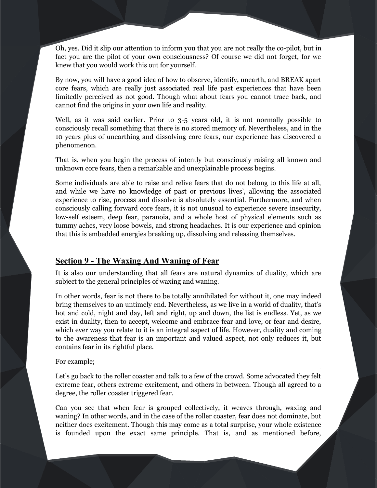Oh, yes. Did it slip our attention to inform you that you are not really the co-pilot, but in fact you are the pilot of your own consciousness? Of course we did not forget, for we knew that you would work this out for yourself.

By now, you will have a good idea of how to observe, identify, unearth, and BREAK apart core fears, which are really just associated real life past experiences that have been limitedly perceived as not good. Though what about fears you cannot trace back, and cannot find the origins in your own life and reality.

Well, as it was said earlier. Prior to 3-5 years old, it is not normally possible to consciously recall something that there is no stored memory of. Nevertheless, and in the 10 years plus of unearthing and dissolving core fears, our experience has discovered a phenomenon.

That is, when you begin the process of intently but consciously raising all known and unknown core fears, then a remarkable and unexplainable process begins.

Some individuals are able to raise and relive fears that do not belong to this life at all, and while we have no knowledge of past or previous lives', allowing the associated experience to rise, process and dissolve is absolutely essential. Furthermore, and when consciously calling forward core fears, it is not unusual to experience severe insecurity, low-self esteem, deep fear, paranoia, and a whole host of physical elements such as tummy aches, very loose bowels, and strong headaches. It is our experience and opinion that this is embedded energies breaking up, dissolving and releasing themselves.

# **Section 9 - The Waxing And Waning of Fear**

It is also our understanding that all fears are natural dynamics of duality, which are subject to the general principles of waxing and waning.

In other words, fear is not there to be totally annihilated for without it, one may indeed bring themselves to an untimely end. Nevertheless, as we live in a world of duality, that's hot and cold, night and day, left and right, up and down, the list is endless. Yet, as we exist in duality, then to accept, welcome and embrace fear and love, or fear and desire, which ever way you relate to it is an integral aspect of life. However, duality and coming to the awareness that fear is an important and valued aspect, not only reduces it, but contains fear in its rightful place.

#### For example;

Let's go back to the roller coaster and talk to a few of the crowd. Some advocated they felt extreme fear, others extreme excitement, and others in between. Though all agreed to a degree, the roller coaster triggered fear.

Can you see that when fear is grouped collectively, it weaves through, waxing and waning? In other words, and in the case of the roller coaster, fear does not dominate, but neither does excitement. Though this may come as a total surprise, your whole existence is founded upon the exact same principle. That is, and as mentioned before,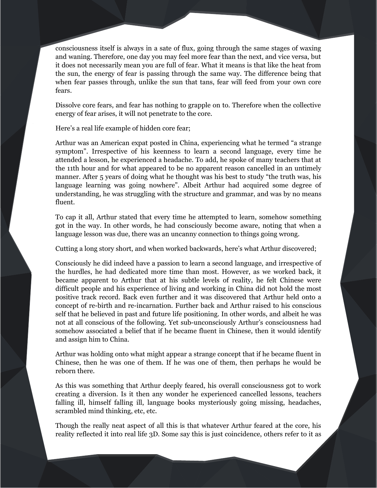consciousness itself is always in a sate of flux, going through the same stages of waxing and waning. Therefore, one day you may feel more fear than the next, and vice versa, but it does not necessarily mean you are full of fear. What it means is that like the heat from the sun, the energy of fear is passing through the same way. The difference being that when fear passes through, unlike the sun that tans, fear will feed from your own core fears.

Dissolve core fears, and fear has nothing to grapple on to. Therefore when the collective energy of fear arises, it will not penetrate to the core.

Here's a real life example of hidden core fear;

Arthur was an American expat posted in China, experiencing what he termed "a strange symptom". Irrespective of his keenness to learn a second language, every time he attended a lesson, he experienced a headache. To add, he spoke of many teachers that at the 11th hour and for what appeared to be no apparent reason cancelled in an untimely manner. After 5 years of doing what he thought was his best to study "the truth was, his language learning was going nowhere". Albeit Arthur had acquired some degree of understanding, he was struggling with the structure and grammar, and was by no means fluent.

To cap it all, Arthur stated that every time he attempted to learn, somehow something got in the way. In other words, he had consciously become aware, noting that when a language lesson was due, there was an uncanny connection to things going wrong.

Cutting a long story short, and when worked backwards, here's what Arthur discovered;

Consciously he did indeed have a passion to learn a second language, and irrespective of the hurdles, he had dedicated more time than most. However, as we worked back, it became apparent to Arthur that at his subtle levels of reality, he felt Chinese were difficult people and his experience of living and working in China did not hold the most positive track record. Back even further and it was discovered that Arthur held onto a concept of re-birth and re-incarnation. Further back and Arthur raised to his conscious self that he believed in past and future life positioning. In other words, and albeit he was not at all conscious of the following. Yet sub-unconsciously Arthur's consciousness had somehow associated a belief that if he became fluent in Chinese, then it would identify and assign him to China.

Arthur was holding onto what might appear a strange concept that if he became fluent in Chinese, then he was one of them. If he was one of them, then perhaps he would be reborn there.

As this was something that Arthur deeply feared, his overall consciousness got to work creating a diversion. Is it then any wonder he experienced cancelled lessons, teachers falling ill, himself falling ill, language books mysteriously going missing, headaches, scrambled mind thinking, etc, etc.

Though the really neat aspect of all this is that whatever Arthur feared at the core, his reality reflected it into real life 3D. Some say this is just coincidence, others refer to it as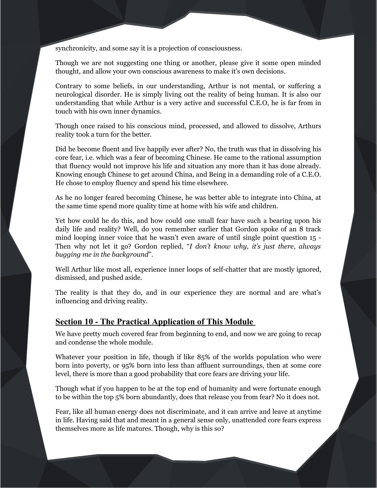synchronicity, and some say it is a projection of consciousness.

Though we are not suggesting one thing or another, please give it some open minded thought, and allow your own conscious awareness to make it's own decisions.

Contrary to some beliefs, in our understanding, Arthur is not mental, or suffering a neurological disorder. He is simply living out the reality of being human. It is also our understanding that while Arthur is a very active and successful C.E.O, he is far from in touch with his own inner dynamics.

Though once raised to his conscious mind, processed, and allowed to dissolve, Arthurs reality took a turn for the better.

Did he become fluent and live happily ever after? No, the truth was that in dissolving his core fear, i.e. which was a fear of becoming Chinese. He came to the rational assumption that fluency would not improve his life and situation any more than it has done already. Knowing enough Chinese to get around China, and Being in a demanding role of a C.E.O. He chose to employ fluency and spend his time elsewhere.

As he no longer feared becoming Chinese, he was better able to integrate into China, at the same time spend more quality time at home with his wife and children.

Yet how could he do this, and how could one small fear have such a bearing upon his daily life and reality? Well, do you remember earlier that Gordon spoke of an 8 track mind looping inner voice that he wasn't even aware of until single point question 15 - Then why not let it go? Gordon replied, "*I don't know why, it's just there, always bugging me in the background*".

Well Arthur like most all, experience inner loops of self-chatter that are mostly ignored, dismissed, and pushed aside.

The reality is that they do, and in our experience they are normal and are what's influencing and driving reality.

# **Section 10 - The Practical Application of This Module**

We have pretty much covered fear from beginning to end, and now we are going to recap and condense the whole module.

Whatever your position in life, though if like 85% of the worlds population who were born into poverty, or 95% born into less than affluent surroundings, then at some core level, there is more than a good probability that core fears are driving your life.

Though what if you happen to be at the top end of humanity and were fortunate enough to be within the top 5% born abundantly, does that release you from fear? No it does not.

Fear, like all human energy does not discriminate, and it can arrive and leave at anytime in life. Having said that and meant in a general sense only, unattended core fears express themselves more as life matures. Though, why is this so?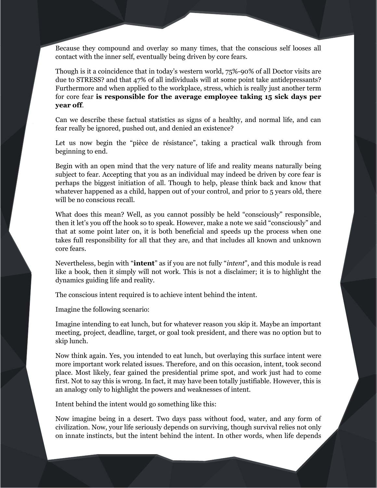Because they compound and overlay so many times, that the conscious self looses all contact with the inner self, eventually being driven by core fears.

Though is it a coincidence that in today's western world, 75%-90% of all Doctor visits are due to STRESS? and that 47% of all individuals will at some point take antidepressants? Furthermore and when applied to the workplace, stress, which is really just another term for core fear **is responsible for the average employee taking 15 sick days per year off**.

Can we describe these factual statistics as signs of a healthy, and normal life, and can fear really be ignored, pushed out, and denied an existence?

Let us now begin the "pièce de résistance", taking a practical walk through from beginning to end.

Begin with an open mind that the very nature of life and reality means naturally being subject to fear. Accepting that you as an individual may indeed be driven by core fear is perhaps the biggest initiation of all. Though to help, please think back and know that whatever happened as a child, happen out of your control, and prior to 5 years old, there will be no conscious recall.

What does this mean? Well, as you cannot possibly be held "consciously" responsible, then it let's you off the hook so to speak. However, make a note we said "consciously" and that at some point later on, it is both beneficial and speeds up the process when one takes full responsibility for all that they are, and that includes all known and unknown core fears.

Nevertheless, begin with "**intent**" as if you are not fully "*intent*", and this module is read like a book, then it simply will not work. This is not a disclaimer; it is to highlight the dynamics guiding life and reality.

The conscious intent required is to achieve intent behind the intent.

Imagine the following scenario:

Imagine intending to eat lunch, but for whatever reason you skip it. Maybe an important meeting, project, deadline, target, or goal took president, and there was no option but to skip lunch.

Now think again. Yes, you intended to eat lunch, but overlaying this surface intent were more important work related issues. Therefore, and on this occasion, intent, took second place. Most likely, fear gained the presidential prime spot, and work just had to come first. Not to say this is wrong. In fact, it may have been totally justifiable. However, this is an analogy only to highlight the powers and weaknesses of intent.

Intent behind the intent would go something like this:

Now imagine being in a desert. Two days pass without food, water, and any form of civilization. Now, your life seriously depends on surviving, though survival relies not only on innate instincts, but the intent behind the intent. In other words, when life depends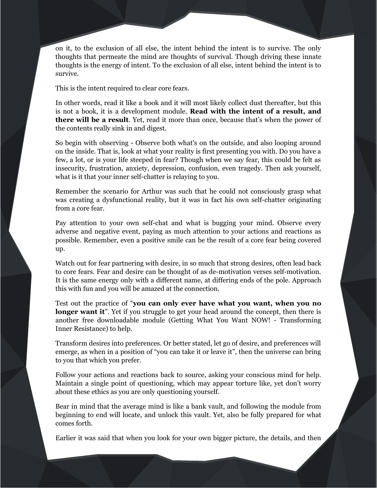on it, to the exclusion of all else, the intent behind the intent is to survive. The only thoughts that permeate the mind are thoughts of survival. Though driving these innate thoughts is the energy of intent. To the exclusion of all else, intent behind the intent is to survive.

This is the intent required to clear core fears.

In other words, read it like a book and it will most likely collect dust thereafter, but this is not a book, it is a development module. **Read with the intent of a result, and there will be a result**. Yet, read it more than once, because that's when the power of the contents really sink in and digest.

So begin with observing - Observe both what's on the outside, and also looping around on the inside. That is, look at what your reality is first presenting you with. Do you have a few, a lot, or is your life steeped in fear? Though when we say fear, this could be felt as insecurity, frustration, anxiety, depression, confusion, even tragedy. Then ask yourself, what is it that your inner self-chatter is relaying to you.

Remember the scenario for Arthur was such that he could not consciously grasp what was creating a dysfunctional reality, but it was in fact his own self-chatter originating from a core fear.

Pay attention to your own self-chat and what is bugging your mind. Observe every adverse and negative event, paying as much attention to your actions and reactions as possible. Remember, even a positive smile can be the result of a core fear being covered up.

Watch out for fear partnering with desire, in so much that strong desires, often lead back to core fears. Fear and desire can be thought of as de-motivation verses self-motivation. It is the same energy only with a different name, at differing ends of the pole. Approach this with fun and you will be amazed at the connection.

Test out the practice of "**you can only ever have what you want, when you no longer want it**". Yet if you struggle to get your head around the concept, then there is another free downloadable module (Getting What You Want NOW! - Transforming Inner Resistance) to help.

Transform desires into preferences. Or better stated, let go of desire, and preferences will emerge, as when in a position of "you can take it or leave it", then the universe can bring to you that which you prefer.

Follow your actions and reactions back to source, asking your conscious mind for help. Maintain a single point of questioning, which may appear torture like, yet don't worry about these ethics as you are only questioning yourself.

Bear in mind that the average mind is like a bank vault, and following the module from beginning to end will locate, and unlock this vault. Yet, also be fully prepared for what comes forth.

Earlier it was said that when you look for your own bigger picture, the details, and then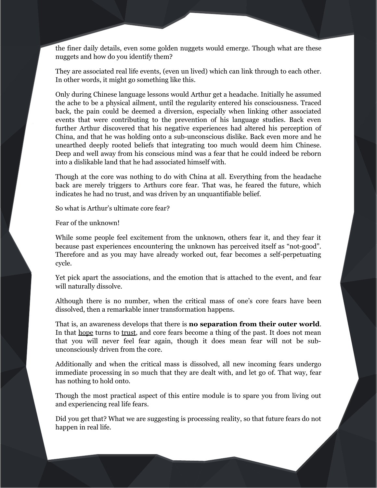the finer daily details, even some golden nuggets would emerge. Though what are these nuggets and how do you identify them?

They are associated real life events, (even un lived) which can link through to each other. In other words, it might go something like this.

Only during Chinese language lessons would Arthur get a headache. Initially he assumed the ache to be a physical ailment, until the regularity entered his consciousness. Traced back, the pain could be deemed a diversion, especially when linking other associated events that were contributing to the prevention of his language studies. Back even further Arthur discovered that his negative experiences had altered his perception of China, and that he was holding onto a sub-unconscious dislike. Back even more and he unearthed deeply rooted beliefs that integrating too much would deem him Chinese. Deep and well away from his conscious mind was a fear that he could indeed be reborn into a dislikable land that he had associated himself with.

Though at the core was nothing to do with China at all. Everything from the headache back are merely triggers to Arthurs core fear. That was, he feared the future, which indicates he had no trust, and was driven by an unquantifiable belief.

So what is Arthur's ultimate core fear?

Fear of the unknown!

While some people feel excitement from the unknown, others fear it, and they fear it because past experiences encountering the unknown has perceived itself as "not-good". Therefore and as you may have already worked out, fear becomes a self-perpetuating cycle.

Yet pick apart the associations, and the emotion that is attached to the event, and fear will naturally dissolve.

Although there is no number, when the critical mass of one's core fears have been dissolved, then a remarkable inner transformation happens.

That is, an awareness develops that there is **no separation from their outer world**. In that hope turns to trust, and core fears become a thing of the past. It does not mean that you will never feel fear again, though it does mean fear will not be subunconsciously driven from the core.

Additionally and when the critical mass is dissolved, all new incoming fears undergo immediate processing in so much that they are dealt with, and let go of. That way, fear has nothing to hold onto.

Though the most practical aspect of this entire module is to spare you from living out and experiencing real life fears.

Did you get that? What we are suggesting is processing reality, so that future fears do not happen in real life.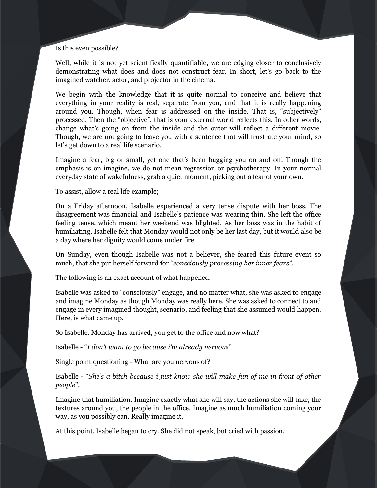#### Is this even possible?

Well, while it is not yet scientifically quantifiable, we are edging closer to conclusively demonstrating what does and does not construct fear. In short, let's go back to the imagined watcher, actor, and projector in the cinema.

We begin with the knowledge that it is quite normal to conceive and believe that everything in your reality is real, separate from you, and that it is really happening around you. Though, when fear is addressed on the inside. That is, "subjectively" processed. Then the "objective", that is your external world reflects this. In other words, change what's going on from the inside and the outer will reflect a different movie. Though, we are not going to leave you with a sentence that will frustrate your mind, so let's get down to a real life scenario.

Imagine a fear, big or small, yet one that's been bugging you on and off. Though the emphasis is on imagine, we do not mean regression or psychotherapy. In your normal everyday state of wakefulness, grab a quiet moment, picking out a fear of your own.

To assist, allow a real life example;

On a Friday afternoon, Isabelle experienced a very tense dispute with her boss. The disagreement was financial and Isabelle's patience was wearing thin. She left the office feeling tense, which meant her weekend was blighted. As her boss was in the habit of humiliating, Isabelle felt that Monday would not only be her last day, but it would also be a day where her dignity would come under fire.

On Sunday, even though Isabelle was not a believer, she feared this future event so much, that she put herself forward for "*consciously processing her inner fears*".

The following is an exact account of what happened.

Isabelle was asked to "consciously" engage, and no matter what, she was asked to engage and imagine Monday as though Monday was really here. She was asked to connect to and engage in every imagined thought, scenario, and feeling that she assumed would happen. Here, is what came up.

So Isabelle. Monday has arrived; you get to the office and now what?

Isabelle - "*I don't want to go because i'm already nervous*"

Single point questioning - What are you nervous of?

Isabelle - "*She's a bitch because i just know she will make fun of me in front of other people*".

Imagine that humiliation. Imagine exactly what she will say, the actions she will take, the textures around you, the people in the office. Imagine as much humiliation coming your way, as you possibly can. Really imagine it.

At this point, Isabelle began to cry. She did not speak, but cried with passion.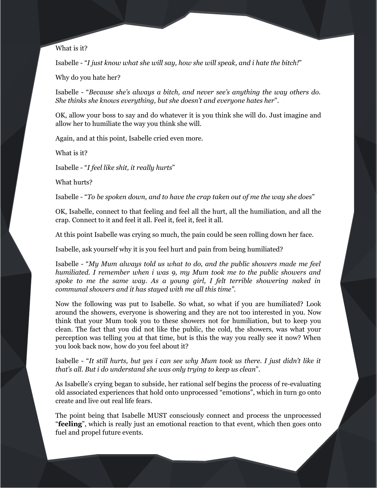What is it?

Isabelle - "*I just know what she will say, how she will speak, and i hate the bitch!*"

Why do you hate her?

Isabelle - "*Because she's always a bitch, and never see's anything the way others do. She thinks she knows everything, but she doesn't and everyone hates her*".

OK, allow your boss to say and do whatever it is you think she will do. Just imagine and allow her to humiliate the way you think she will.

Again, and at this point, Isabelle cried even more.

What is it?

Isabelle - "*I feel like shit, it really hurts*"

What hurts?

Isabelle - "*To be spoken down, and to have the crap taken out of me the way she does*"

OK, Isabelle, connect to that feeling and feel all the hurt, all the humiliation, and all the crap. Connect to it and feel it all. Feel it, feel it, feel it all.

At this point Isabelle was crying so much, the pain could be seen rolling down her face.

Isabelle, ask yourself why it is you feel hurt and pain from being humiliated?

Isabelle - "*My Mum always told us what to do, and the public showers made me feel humiliated. I remember when i was 9, my Mum took me to the public showers and spoke to me the same way. As a young girl, I felt terrible showering naked in communal showers and it has stayed with me all this time"*.

Now the following was put to Isabelle. So what, so what if you are humiliated? Look around the showers, everyone is showering and they are not too interested in you. Now think that your Mum took you to these showers not for humiliation, but to keep you clean. The fact that you did not like the public, the cold, the showers, was what your perception was telling you at that time, but is this the way you really see it now? When you look back now, how do you feel about it?

Isabelle - "*It still hurts, but yes i can see why Mum took us there. I just didn't like it that's all. But i do understand she was only trying to keep us clean*".

As Isabelle's crying began to subside, her rational self begins the process of re-evaluating old associated experiences that hold onto unprocessed "emotions", which in turn go onto create and live out real life fears.

The point being that Isabelle MUST consciously connect and process the unprocessed "**feeling**", which is really just an emotional reaction to that event, which then goes onto fuel and propel future events.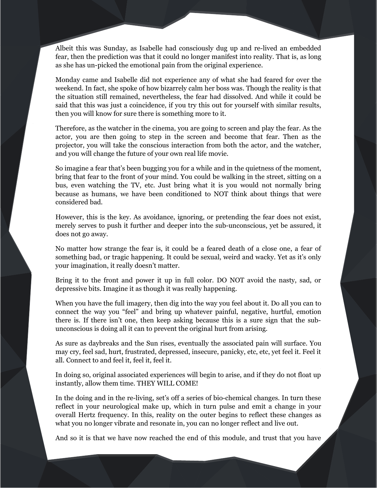Albeit this was Sunday, as Isabelle had consciously dug up and re-lived an embedded fear, then the prediction was that it could no longer manifest into reality. That is, as long as she has un-picked the emotional pain from the original experience.

Monday came and Isabelle did not experience any of what she had feared for over the weekend. In fact, she spoke of how bizarrely calm her boss was. Though the reality is that the situation still remained, nevertheless, the fear had dissolved. And while it could be said that this was just a coincidence, if you try this out for yourself with similar results, then you will know for sure there is something more to it.

Therefore, as the watcher in the cinema, you are going to screen and play the fear. As the actor, you are then going to step in the screen and become that fear. Then as the projector, you will take the conscious interaction from both the actor, and the watcher, and you will change the future of your own real life movie.

So imagine a fear that's been bugging you for a while and in the quietness of the moment, bring that fear to the front of your mind. You could be walking in the street, sitting on a bus, even watching the TV, etc. Just bring what it is you would not normally bring because as humans, we have been conditioned to NOT think about things that were considered bad.

However, this is the key. As avoidance, ignoring, or pretending the fear does not exist, merely serves to push it further and deeper into the sub-unconscious, yet be assured, it does not go away.

No matter how strange the fear is, it could be a feared death of a close one, a fear of something bad, or tragic happening. It could be sexual, weird and wacky. Yet as it's only your imagination, it really doesn't matter.

Bring it to the front and power it up in full color. DO NOT avoid the nasty, sad, or depressive bits. Imagine it as though it was really happening.

When you have the full imagery, then dig into the way you feel about it. Do all you can to connect the way you "feel" and bring up whatever painful, negative, hurtful, emotion there is. If there isn't one, then keep asking because this is a sure sign that the subunconscious is doing all it can to prevent the original hurt from arising.

As sure as daybreaks and the Sun rises, eventually the associated pain will surface. You may cry, feel sad, hurt, frustrated, depressed, insecure, panicky, etc, etc, yet feel it. Feel it all. Connect to and feel it, feel it, feel it.

In doing so, original associated experiences will begin to arise, and if they do not float up instantly, allow them time. THEY WILL COME!

In the doing and in the re-living, set's off a series of bio-chemical changes. In turn these reflect in your neurological make up, which in turn pulse and emit a change in your overall Hertz frequency. In this, reality on the outer begins to reflect these changes as what you no longer vibrate and resonate in, you can no longer reflect and live out.

And so it is that we have now reached the end of this module, and trust that you have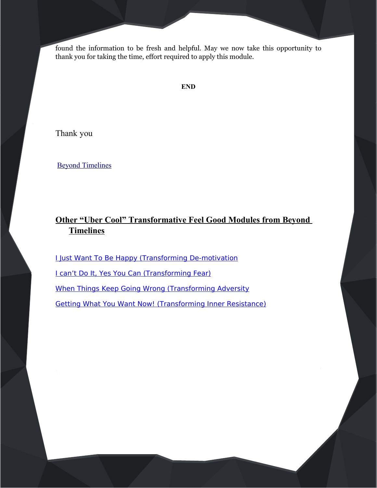found the information to be fresh and helpful. May we now take this opportunity to thank you for taking the time, effort required to apply this module.

## **END**

Thank you

[Beyond Timelines](http://www.beyondtimelines.com/)

# **Other "Uber Cool" Transformative Feel Good Modules from Beyond Timelines**

**[I Just Want To Be Happy \(Transforming De-motivation](http://www.beyondtimelines.com/modules/)** [I can't Do It, Yes You Can \(Transforming Fear\)](http://www.beyondtimelines.com/modules/) [When Things Keep Going Wrong \(Transforming Adversity](http://www.beyondtimelines.com/modules/) [Getting What You Want Now! \(Transforming Inner Resistance\)](http://www.beyondtimelines.com/modules/)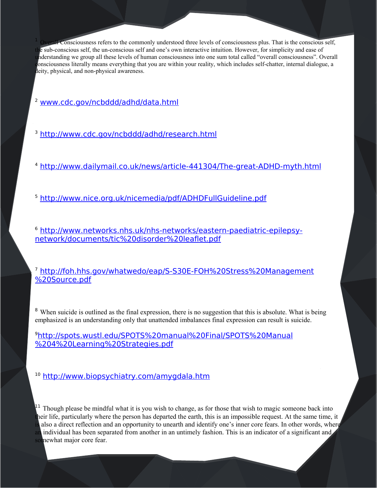<span id="page-63-0"></span>**Consciousness refers to the commonly understood three levels of consciousness plus. That is the conscious self,** e sub-conscious self, the un-conscious self and one's own interactive intuition. However, for simplicity and ease of understanding we group all these levels of human consciousness into one sum total called "overall consciousness". Overall consciousness literally means everything that you are within your reality, which includes self-chatter, internal dialogue, a deity, physical, and non-physical awareness.

<span id="page-63-1"></span><sup>2</sup> [www.cdc.gov/ncbddd/adhd/data.html](http://www.cdc.gov/ncbddd/adhd/data.html)

<span id="page-63-2"></span><sup>3</sup> <http://www.cdc.gov/ncbddd/adhd/research.html>

<span id="page-63-3"></span><sup>4</sup> <http://www.dailymail.co.uk/news/article-441304/The-great-ADHD-myth.html>

<span id="page-63-4"></span><sup>5</sup> <http://www.nice.org.uk/nicemedia/pdf/ADHDFullGuideline.pdf>

<span id="page-63-5"></span><sup>6</sup> [http://www.networks.nhs.uk/nhs-networks/eastern-paediatric-epilepsy](http://www.networks.nhs.uk/nhs-networks/eastern-paediatric-epilepsy-network/documents/tic%20disorder%20leaflet.pdf)[network/documents/tic%20disorder%20leaflet.pdf](http://www.networks.nhs.uk/nhs-networks/eastern-paediatric-epilepsy-network/documents/tic%20disorder%20leaflet.pdf)

<span id="page-63-6"></span><sup>7</sup> [http://foh.hhs.gov/whatwedo/eap/S-S30E-FOH%20Stress%20Management](http://foh.hhs.gov/whatwedo/eap/S-S30E-FOH%20Stress%20Management%20Source.pdf) [%20Source.pdf](http://foh.hhs.gov/whatwedo/eap/S-S30E-FOH%20Stress%20Management%20Source.pdf)

<span id="page-63-7"></span><sup>8</sup> When suicide is outlined as the final expression, there is no suggestion that this is absolute. What is being emphasized is an understanding only that unattended imbalances final expression can result is suicide.

<span id="page-63-8"></span><sup>9</sup>[http://spots.wustl.edu/SPOTS%20manual%20Final/SPOTS%20Manual](http://spots.wustl.edu/SPOTS%20manual%20Final/SPOTS%20Manual%204%20Learning%20Strategies.pdf) [%204%20Learning%20Strategies.pdf](http://spots.wustl.edu/SPOTS%20manual%20Final/SPOTS%20Manual%204%20Learning%20Strategies.pdf)

<span id="page-63-9"></span><sup>10</sup> <http://www.biopsychiatry.com/amygdala.htm>

<span id="page-63-10"></span> $1<sup>11</sup>$  Though please be mindful what it is you wish to change, as for those that wish to magic someone back into heir life, particularly where the person has departed the earth, this is an impossible request. At the same time, it also a direct reflection and an opportunity to unearth and identify one's inner core fears. In other words, where an individual has been separated from another in an untimely fashion. This is an indicator of a significant and somewhat major core fear.